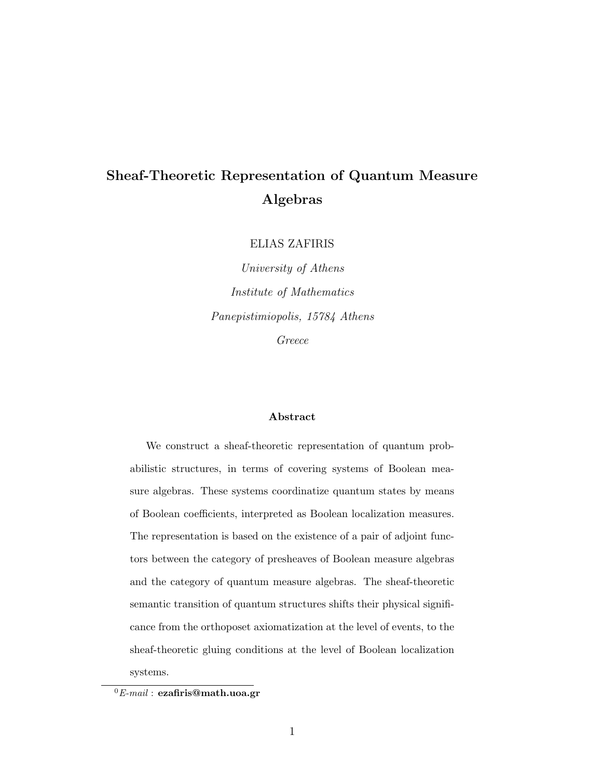## Sheaf-Theoretic Representation of Quantum Measure Algebras

ELIAS ZAFIRIS

University of Athens Institute of Mathematics Panepistimiopolis, 15784 Athens Greece

#### Abstract

We construct a sheaf-theoretic representation of quantum probabilistic structures, in terms of covering systems of Boolean measure algebras. These systems coordinatize quantum states by means of Boolean coefficients, interpreted as Boolean localization measures. The representation is based on the existence of a pair of adjoint functors between the category of presheaves of Boolean measure algebras and the category of quantum measure algebras. The sheaf-theoretic semantic transition of quantum structures shifts their physical significance from the orthoposet axiomatization at the level of events, to the sheaf-theoretic gluing conditions at the level of Boolean localization systems.

 ${}^{0}E$ -mail : ezafiris@math.uoa.gr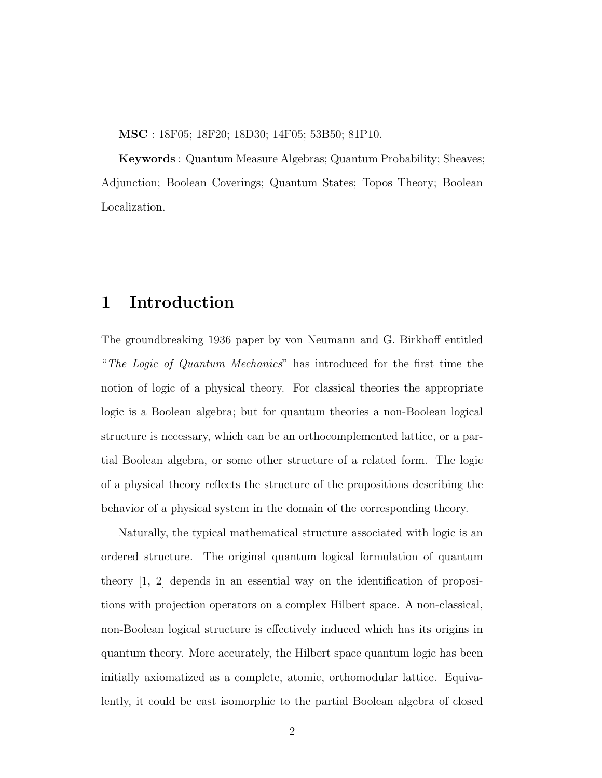MSC : 18F05; 18F20; 18D30; 14F05; 53B50; 81P10.

Keywords : Quantum Measure Algebras; Quantum Probability; Sheaves; Adjunction; Boolean Coverings; Quantum States; Topos Theory; Boolean Localization.

### 1 Introduction

The groundbreaking 1936 paper by von Neumann and G. Birkhoff entitled "The Logic of Quantum Mechanics" has introduced for the first time the notion of logic of a physical theory. For classical theories the appropriate logic is a Boolean algebra; but for quantum theories a non-Boolean logical structure is necessary, which can be an orthocomplemented lattice, or a partial Boolean algebra, or some other structure of a related form. The logic of a physical theory reflects the structure of the propositions describing the behavior of a physical system in the domain of the corresponding theory.

Naturally, the typical mathematical structure associated with logic is an ordered structure. The original quantum logical formulation of quantum theory [1, 2] depends in an essential way on the identification of propositions with projection operators on a complex Hilbert space. A non-classical, non-Boolean logical structure is effectively induced which has its origins in quantum theory. More accurately, the Hilbert space quantum logic has been initially axiomatized as a complete, atomic, orthomodular lattice. Equivalently, it could be cast isomorphic to the partial Boolean algebra of closed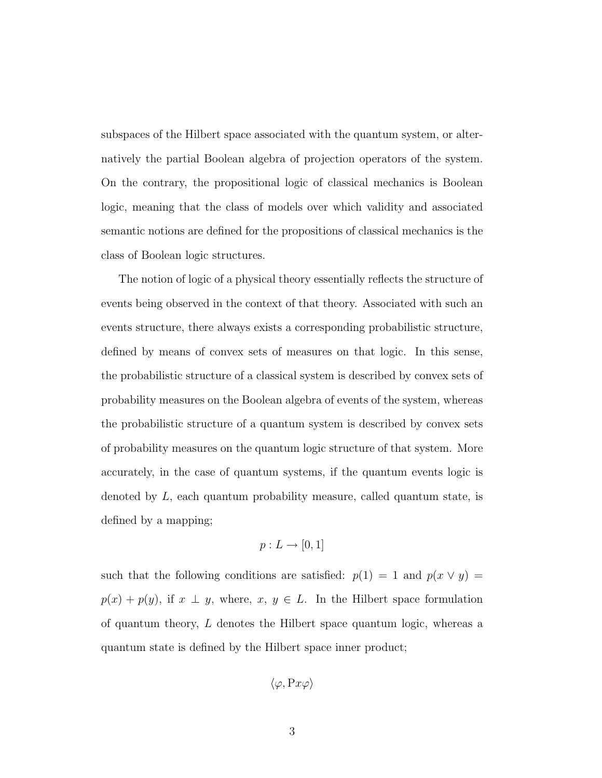subspaces of the Hilbert space associated with the quantum system, or alternatively the partial Boolean algebra of projection operators of the system. On the contrary, the propositional logic of classical mechanics is Boolean logic, meaning that the class of models over which validity and associated semantic notions are defined for the propositions of classical mechanics is the class of Boolean logic structures.

The notion of logic of a physical theory essentially reflects the structure of events being observed in the context of that theory. Associated with such an events structure, there always exists a corresponding probabilistic structure, defined by means of convex sets of measures on that logic. In this sense, the probabilistic structure of a classical system is described by convex sets of probability measures on the Boolean algebra of events of the system, whereas the probabilistic structure of a quantum system is described by convex sets of probability measures on the quantum logic structure of that system. More accurately, in the case of quantum systems, if the quantum events logic is denoted by L, each quantum probability measure, called quantum state, is defined by a mapping;

$$
p: L \to [0, 1]
$$

such that the following conditions are satisfied:  $p(1) = 1$  and  $p(x \vee y) =$  $p(x) + p(y)$ , if  $x \perp y$ , where,  $x, y \in L$ . In the Hilbert space formulation of quantum theory, L denotes the Hilbert space quantum logic, whereas a quantum state is defined by the Hilbert space inner product;

$$
\langle \varphi, \mathrm{P}x\varphi \rangle
$$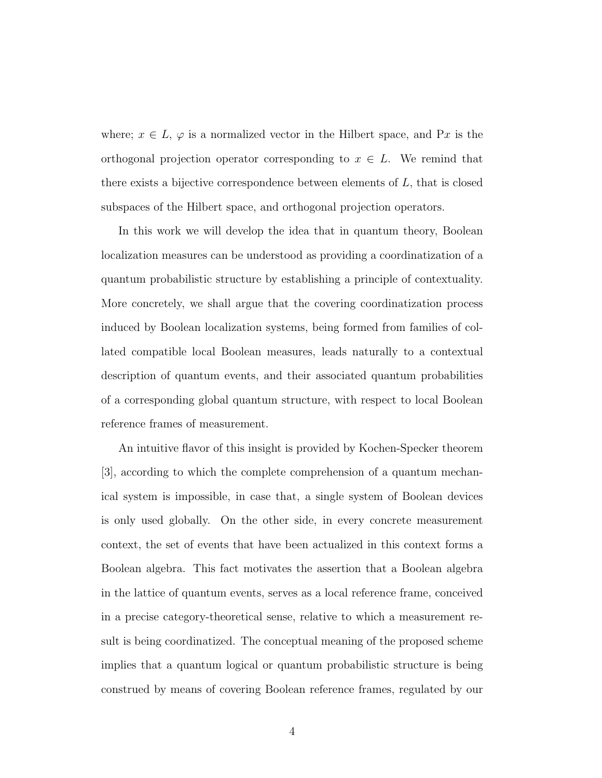where;  $x \in L$ ,  $\varphi$  is a normalized vector in the Hilbert space, and Px is the orthogonal projection operator corresponding to  $x \in L$ . We remind that there exists a bijective correspondence between elements of  $L$ , that is closed subspaces of the Hilbert space, and orthogonal projection operators.

In this work we will develop the idea that in quantum theory, Boolean localization measures can be understood as providing a coordinatization of a quantum probabilistic structure by establishing a principle of contextuality. More concretely, we shall argue that the covering coordinatization process induced by Boolean localization systems, being formed from families of collated compatible local Boolean measures, leads naturally to a contextual description of quantum events, and their associated quantum probabilities of a corresponding global quantum structure, with respect to local Boolean reference frames of measurement.

An intuitive flavor of this insight is provided by Kochen-Specker theorem [3], according to which the complete comprehension of a quantum mechanical system is impossible, in case that, a single system of Boolean devices is only used globally. On the other side, in every concrete measurement context, the set of events that have been actualized in this context forms a Boolean algebra. This fact motivates the assertion that a Boolean algebra in the lattice of quantum events, serves as a local reference frame, conceived in a precise category-theoretical sense, relative to which a measurement result is being coordinatized. The conceptual meaning of the proposed scheme implies that a quantum logical or quantum probabilistic structure is being construed by means of covering Boolean reference frames, regulated by our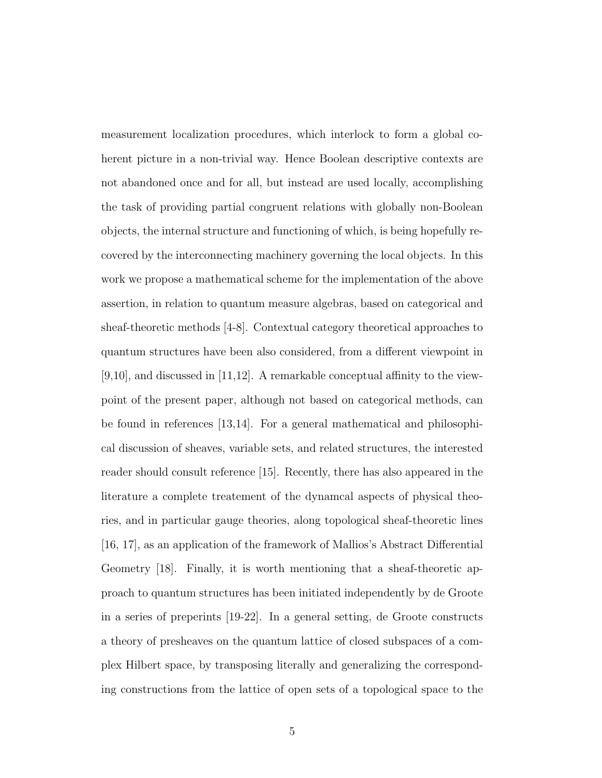measurement localization procedures, which interlock to form a global coherent picture in a non-trivial way. Hence Boolean descriptive contexts are not abandoned once and for all, but instead are used locally, accomplishing the task of providing partial congruent relations with globally non-Boolean objects, the internal structure and functioning of which, is being hopefully recovered by the interconnecting machinery governing the local objects. In this work we propose a mathematical scheme for the implementation of the above assertion, in relation to quantum measure algebras, based on categorical and sheaf-theoretic methods [4-8]. Contextual category theoretical approaches to quantum structures have been also considered, from a different viewpoint in  $[9,10]$ , and discussed in  $[11,12]$ . A remarkable conceptual affinity to the viewpoint of the present paper, although not based on categorical methods, can be found in references [13,14]. For a general mathematical and philosophical discussion of sheaves, variable sets, and related structures, the interested reader should consult reference [15]. Recently, there has also appeared in the literature a complete treatement of the dynamcal aspects of physical theories, and in particular gauge theories, along topological sheaf-theoretic lines [16, 17], as an application of the framework of Mallios's Abstract Differential Geometry [18]. Finally, it is worth mentioning that a sheaf-theoretic approach to quantum structures has been initiated independently by de Groote in a series of preperints [19-22]. In a general setting, de Groote constructs a theory of presheaves on the quantum lattice of closed subspaces of a complex Hilbert space, by transposing literally and generalizing the corresponding constructions from the lattice of open sets of a topological space to the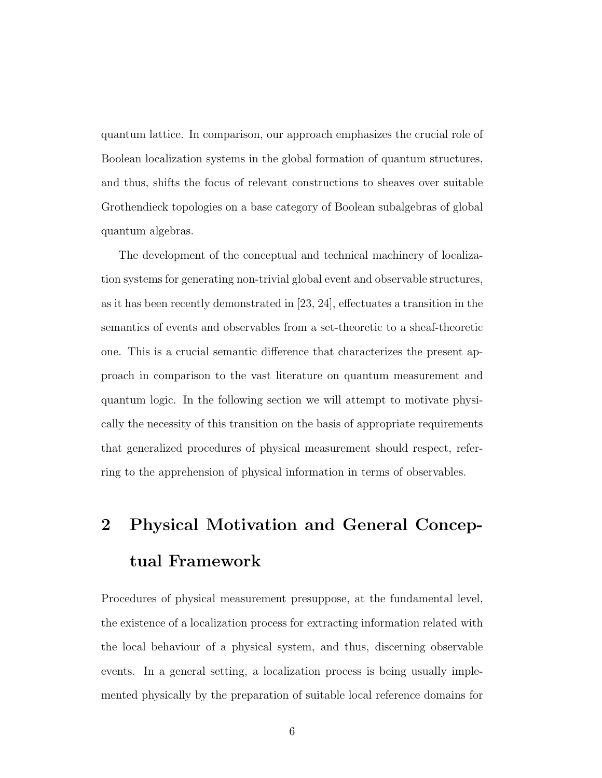quantum lattice. In comparison, our approach emphasizes the crucial role of Boolean localization systems in the global formation of quantum structures, and thus, shifts the focus of relevant constructions to sheaves over suitable Grothendieck topologies on a base category of Boolean subalgebras of global quantum algebras.

The development of the conceptual and technical machinery of localization systems for generating non-trivial global event and observable structures, as it has been recently demonstrated in [23, 24], effectuates a transition in the semantics of events and observables from a set-theoretic to a sheaf-theoretic one. This is a crucial semantic difference that characterizes the present approach in comparison to the vast literature on quantum measurement and quantum logic. In the following section we will attempt to motivate physically the necessity of this transition on the basis of appropriate requirements that generalized procedures of physical measurement should respect, referring to the apprehension of physical information in terms of observables.

# 2 Physical Motivation and General Conceptual Framework

Procedures of physical measurement presuppose, at the fundamental level, the existence of a localization process for extracting information related with the local behaviour of a physical system, and thus, discerning observable events. In a general setting, a localization process is being usually implemented physically by the preparation of suitable local reference domains for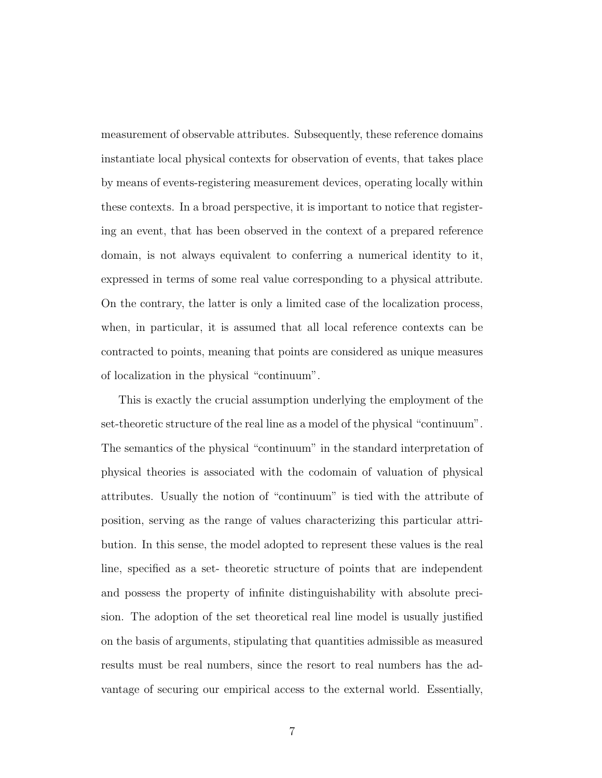measurement of observable attributes. Subsequently, these reference domains instantiate local physical contexts for observation of events, that takes place by means of events-registering measurement devices, operating locally within these contexts. In a broad perspective, it is important to notice that registering an event, that has been observed in the context of a prepared reference domain, is not always equivalent to conferring a numerical identity to it, expressed in terms of some real value corresponding to a physical attribute. On the contrary, the latter is only a limited case of the localization process, when, in particular, it is assumed that all local reference contexts can be contracted to points, meaning that points are considered as unique measures of localization in the physical "continuum".

This is exactly the crucial assumption underlying the employment of the set-theoretic structure of the real line as a model of the physical "continuum". The semantics of the physical "continuum" in the standard interpretation of physical theories is associated with the codomain of valuation of physical attributes. Usually the notion of "continuum" is tied with the attribute of position, serving as the range of values characterizing this particular attribution. In this sense, the model adopted to represent these values is the real line, specified as a set- theoretic structure of points that are independent and possess the property of infinite distinguishability with absolute precision. The adoption of the set theoretical real line model is usually justified on the basis of arguments, stipulating that quantities admissible as measured results must be real numbers, since the resort to real numbers has the advantage of securing our empirical access to the external world. Essentially,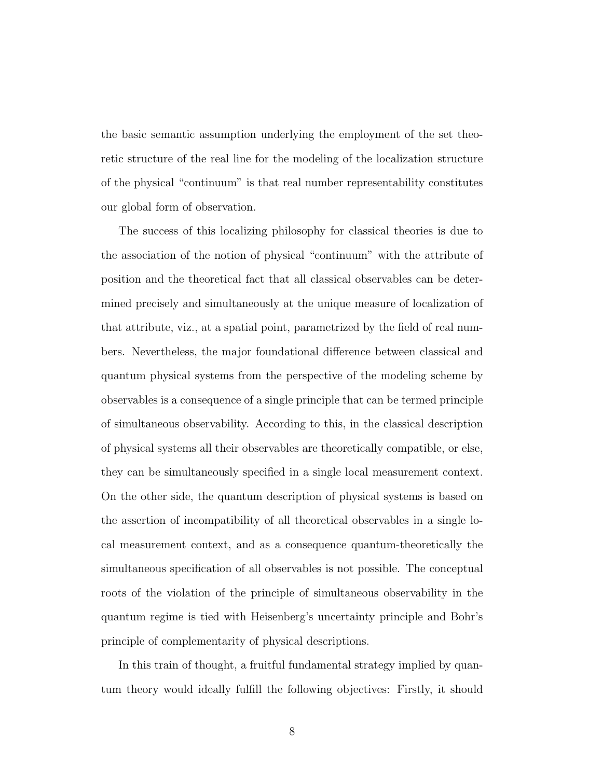the basic semantic assumption underlying the employment of the set theoretic structure of the real line for the modeling of the localization structure of the physical "continuum" is that real number representability constitutes our global form of observation.

The success of this localizing philosophy for classical theories is due to the association of the notion of physical "continuum" with the attribute of position and the theoretical fact that all classical observables can be determined precisely and simultaneously at the unique measure of localization of that attribute, viz., at a spatial point, parametrized by the field of real numbers. Nevertheless, the major foundational difference between classical and quantum physical systems from the perspective of the modeling scheme by observables is a consequence of a single principle that can be termed principle of simultaneous observability. According to this, in the classical description of physical systems all their observables are theoretically compatible, or else, they can be simultaneously specified in a single local measurement context. On the other side, the quantum description of physical systems is based on the assertion of incompatibility of all theoretical observables in a single local measurement context, and as a consequence quantum-theoretically the simultaneous specification of all observables is not possible. The conceptual roots of the violation of the principle of simultaneous observability in the quantum regime is tied with Heisenberg's uncertainty principle and Bohr's principle of complementarity of physical descriptions.

In this train of thought, a fruitful fundamental strategy implied by quantum theory would ideally fulfill the following objectives: Firstly, it should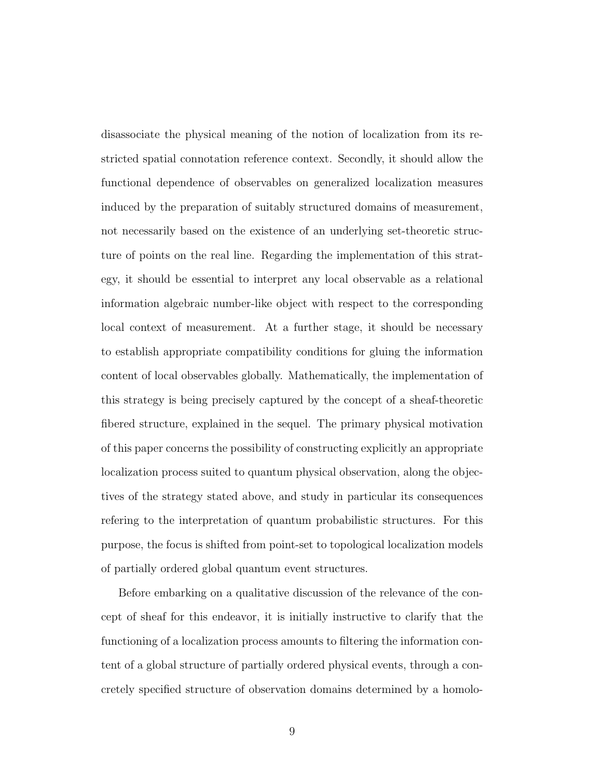disassociate the physical meaning of the notion of localization from its restricted spatial connotation reference context. Secondly, it should allow the functional dependence of observables on generalized localization measures induced by the preparation of suitably structured domains of measurement, not necessarily based on the existence of an underlying set-theoretic structure of points on the real line. Regarding the implementation of this strategy, it should be essential to interpret any local observable as a relational information algebraic number-like object with respect to the corresponding local context of measurement. At a further stage, it should be necessary to establish appropriate compatibility conditions for gluing the information content of local observables globally. Mathematically, the implementation of this strategy is being precisely captured by the concept of a sheaf-theoretic fibered structure, explained in the sequel. The primary physical motivation of this paper concerns the possibility of constructing explicitly an appropriate localization process suited to quantum physical observation, along the objectives of the strategy stated above, and study in particular its consequences refering to the interpretation of quantum probabilistic structures. For this purpose, the focus is shifted from point-set to topological localization models of partially ordered global quantum event structures.

Before embarking on a qualitative discussion of the relevance of the concept of sheaf for this endeavor, it is initially instructive to clarify that the functioning of a localization process amounts to filtering the information content of a global structure of partially ordered physical events, through a concretely specified structure of observation domains determined by a homolo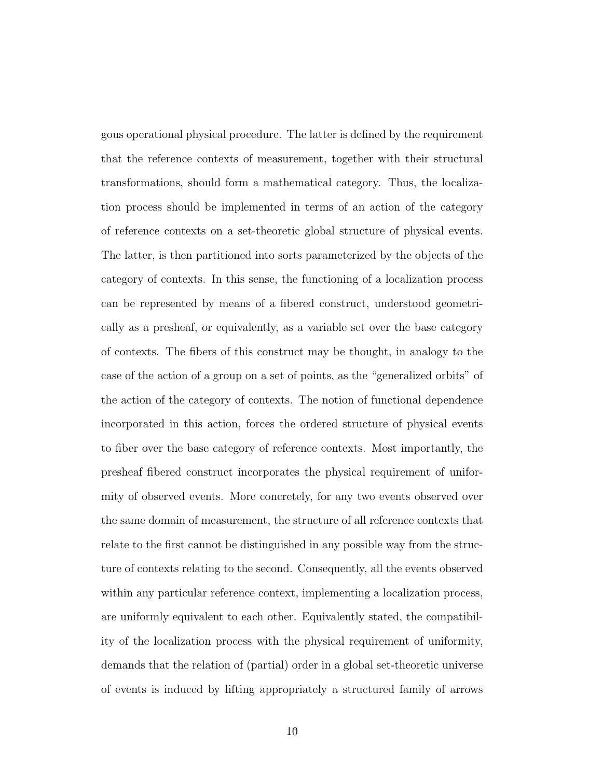gous operational physical procedure. The latter is defined by the requirement that the reference contexts of measurement, together with their structural transformations, should form a mathematical category. Thus, the localization process should be implemented in terms of an action of the category of reference contexts on a set-theoretic global structure of physical events. The latter, is then partitioned into sorts parameterized by the objects of the category of contexts. In this sense, the functioning of a localization process can be represented by means of a fibered construct, understood geometrically as a presheaf, or equivalently, as a variable set over the base category of contexts. The fibers of this construct may be thought, in analogy to the case of the action of a group on a set of points, as the "generalized orbits" of the action of the category of contexts. The notion of functional dependence incorporated in this action, forces the ordered structure of physical events to fiber over the base category of reference contexts. Most importantly, the presheaf fibered construct incorporates the physical requirement of uniformity of observed events. More concretely, for any two events observed over the same domain of measurement, the structure of all reference contexts that relate to the first cannot be distinguished in any possible way from the structure of contexts relating to the second. Consequently, all the events observed within any particular reference context, implementing a localization process, are uniformly equivalent to each other. Equivalently stated, the compatibility of the localization process with the physical requirement of uniformity, demands that the relation of (partial) order in a global set-theoretic universe of events is induced by lifting appropriately a structured family of arrows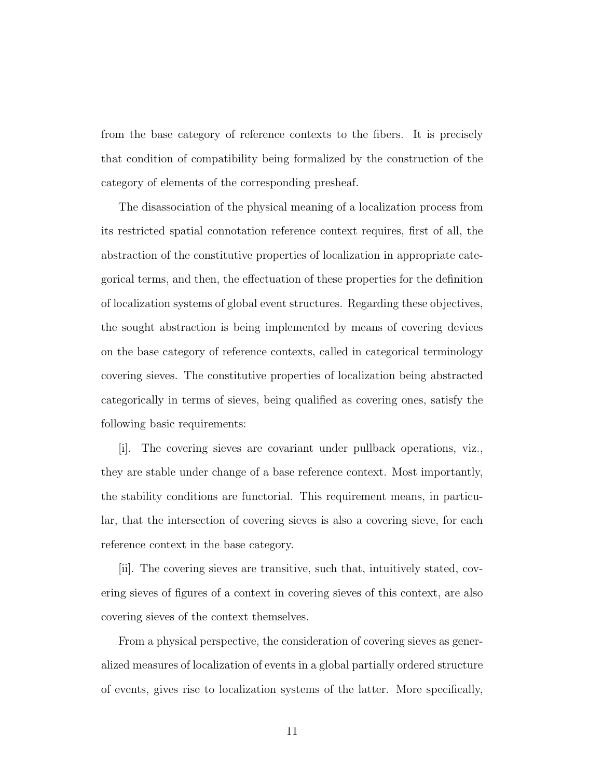from the base category of reference contexts to the fibers. It is precisely that condition of compatibility being formalized by the construction of the category of elements of the corresponding presheaf.

The disassociation of the physical meaning of a localization process from its restricted spatial connotation reference context requires, first of all, the abstraction of the constitutive properties of localization in appropriate categorical terms, and then, the effectuation of these properties for the definition of localization systems of global event structures. Regarding these objectives, the sought abstraction is being implemented by means of covering devices on the base category of reference contexts, called in categorical terminology covering sieves. The constitutive properties of localization being abstracted categorically in terms of sieves, being qualified as covering ones, satisfy the following basic requirements:

[i]. The covering sieves are covariant under pullback operations, viz., they are stable under change of a base reference context. Most importantly, the stability conditions are functorial. This requirement means, in particular, that the intersection of covering sieves is also a covering sieve, for each reference context in the base category.

[ii]. The covering sieves are transitive, such that, intuitively stated, covering sieves of figures of a context in covering sieves of this context, are also covering sieves of the context themselves.

From a physical perspective, the consideration of covering sieves as generalized measures of localization of events in a global partially ordered structure of events, gives rise to localization systems of the latter. More specifically,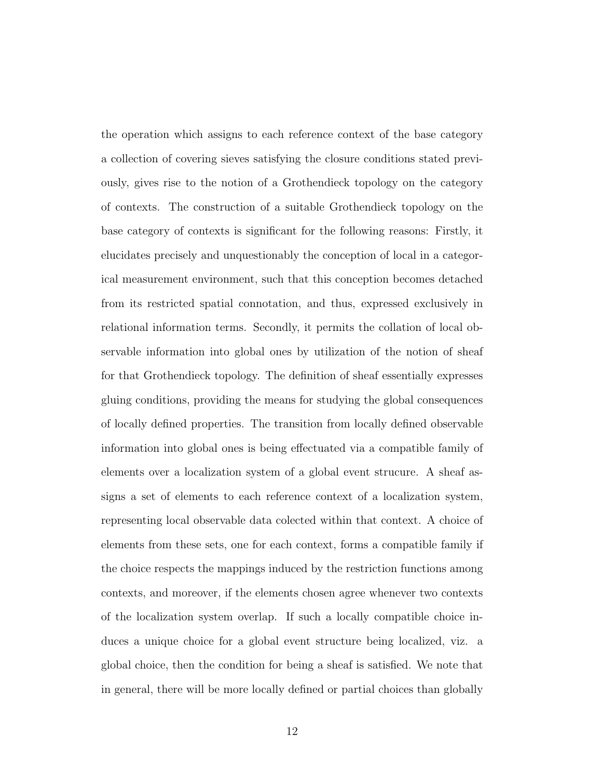the operation which assigns to each reference context of the base category a collection of covering sieves satisfying the closure conditions stated previously, gives rise to the notion of a Grothendieck topology on the category of contexts. The construction of a suitable Grothendieck topology on the base category of contexts is significant for the following reasons: Firstly, it elucidates precisely and unquestionably the conception of local in a categorical measurement environment, such that this conception becomes detached from its restricted spatial connotation, and thus, expressed exclusively in relational information terms. Secondly, it permits the collation of local observable information into global ones by utilization of the notion of sheaf for that Grothendieck topology. The definition of sheaf essentially expresses gluing conditions, providing the means for studying the global consequences of locally defined properties. The transition from locally defined observable information into global ones is being effectuated via a compatible family of elements over a localization system of a global event strucure. A sheaf assigns a set of elements to each reference context of a localization system, representing local observable data colected within that context. A choice of elements from these sets, one for each context, forms a compatible family if the choice respects the mappings induced by the restriction functions among contexts, and moreover, if the elements chosen agree whenever two contexts of the localization system overlap. If such a locally compatible choice induces a unique choice for a global event structure being localized, viz. a global choice, then the condition for being a sheaf is satisfied. We note that in general, there will be more locally defined or partial choices than globally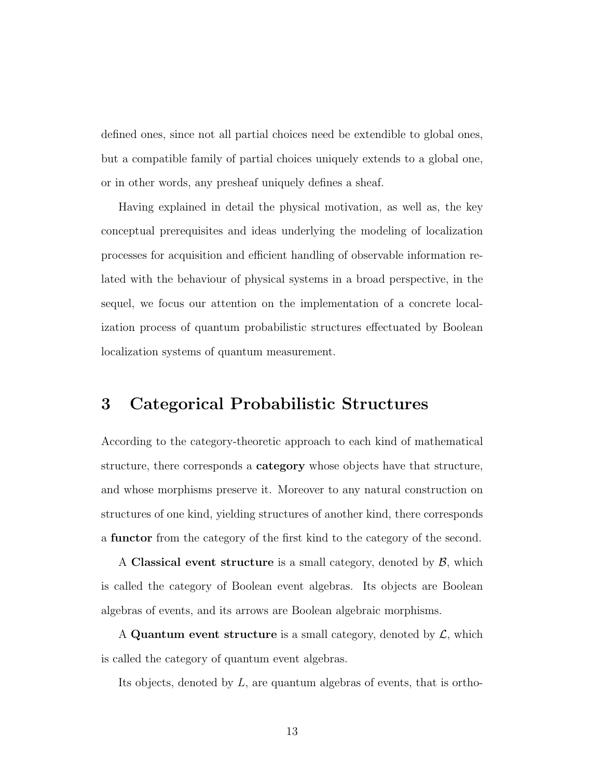defined ones, since not all partial choices need be extendible to global ones, but a compatible family of partial choices uniquely extends to a global one, or in other words, any presheaf uniquely defines a sheaf.

Having explained in detail the physical motivation, as well as, the key conceptual prerequisites and ideas underlying the modeling of localization processes for acquisition and efficient handling of observable information related with the behaviour of physical systems in a broad perspective, in the sequel, we focus our attention on the implementation of a concrete localization process of quantum probabilistic structures effectuated by Boolean localization systems of quantum measurement.

### 3 Categorical Probabilistic Structures

According to the category-theoretic approach to each kind of mathematical structure, there corresponds a category whose objects have that structure, and whose morphisms preserve it. Moreover to any natural construction on structures of one kind, yielding structures of another kind, there corresponds a functor from the category of the first kind to the category of the second.

A Classical event structure is a small category, denoted by  $\mathcal{B}$ , which is called the category of Boolean event algebras. Its objects are Boolean algebras of events, and its arrows are Boolean algebraic morphisms.

A Quantum event structure is a small category, denoted by  $\mathcal{L}$ , which is called the category of quantum event algebras.

Its objects, denoted by L, are quantum algebras of events, that is ortho-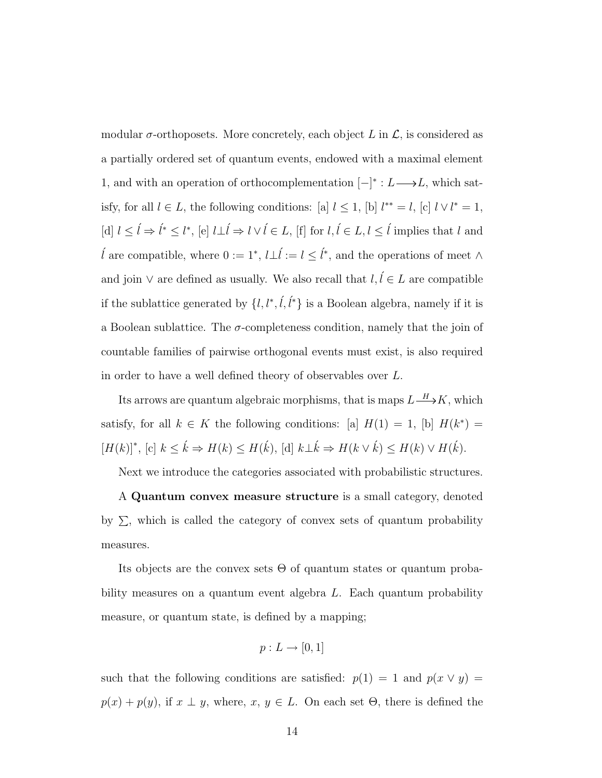modular  $\sigma$ -orthoposets. More concretely, each object L in  $\mathcal{L}$ , is considered as a partially ordered set of quantum events, endowed with a maximal element 1, and with an operation of orthocomplementation  $[-]$ <sup>\*</sup> :  $L$  →  $L$ , which satisfy, for all  $l \in L$ , the following conditions: [a]  $l \leq 1$ , [b]  $l^{**} = l$ , [c]  $l \vee l^* = 1$ , [d]  $l \leq \hat{l} \Rightarrow \hat{l}^* \leq l^*$ , [e]  $l \perp \hat{l} \Rightarrow l \vee \hat{l} \in L$ , [f] for  $l, \hat{l} \in L, l \leq \hat{l}$  implies that  $l$  and  $\hat{l}$  are compatible, where 0 := 1<sup>\*</sup>,  $l \perp \hat{l} := l \leq \hat{l}^*$ , and the operations of meet ∧ and join  $\vee$  are defined as usually. We also recall that  $l, l \in L$  are compatible if the sublattice generated by  $\{l, l^*, \ell, \ell^*\}$  is a Boolean algebra, namely if it is a Boolean sublattice. The  $\sigma$ -completeness condition, namely that the join of countable families of pairwise orthogonal events must exist, is also required in order to have a well defined theory of observables over L.

Its arrows are quantum algebraic morphisms, that is maps  $L \longrightarrow K$ , which satisfy, for all  $k \in K$  the following conditions: [a]  $H(1) = 1$ , [b]  $H(k^*) =$  $[H(k)]^*,$  [c]  $k \leq \hat{k} \Rightarrow H(k) \leq H(\hat{k}),$  [d]  $k \perp \hat{k} \Rightarrow H(k \vee \hat{k}) \leq H(k) \vee H(\hat{k}).$ 

Next we introduce the categories associated with probabilistic structures.

A Quantum convex measure structure is a small category, denoted by  $\Sigma$ , which is called the category of convex sets of quantum probability measures.

Its objects are the convex sets  $\Theta$  of quantum states or quantum probability measures on a quantum event algebra L. Each quantum probability measure, or quantum state, is defined by a mapping;

$$
p: L \to [0, 1]
$$

such that the following conditions are satisfied:  $p(1) = 1$  and  $p(x \vee y) =$  $p(x) + p(y)$ , if  $x \perp y$ , where,  $x, y \in L$ . On each set  $\Theta$ , there is defined the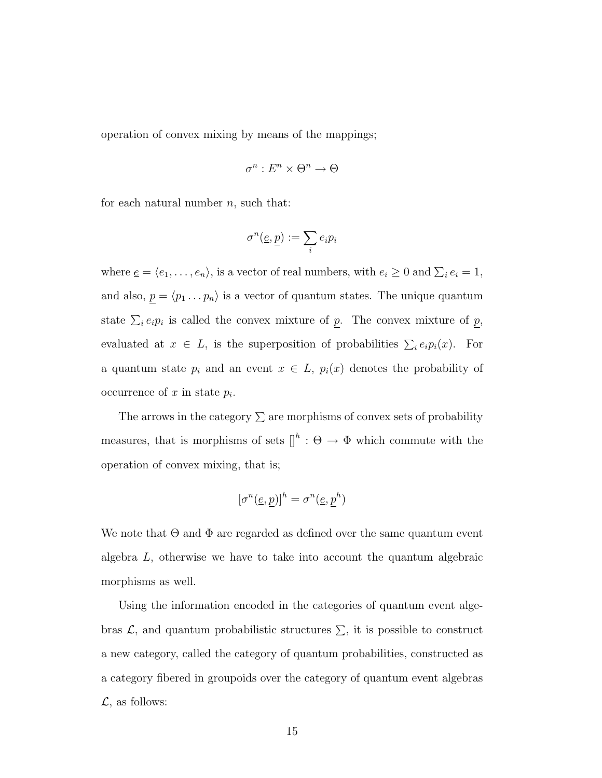operation of convex mixing by means of the mappings;

$$
\sigma^n:E^n\times\Theta^n\to\Theta
$$

for each natural number  $n$ , such that:

$$
\sigma^n(\underline{e}, \underline{p}) := \sum_i e_i p_i
$$

where  $\underline{e} = \langle e_1, \ldots, e_n \rangle$ , is a vector of real numbers, with  $e_i \geq 0$  and  $\sum_i e_i = 1$ , and also,  $\underline{p} = \langle p_1 \dots p_n \rangle$  is a vector of quantum states. The unique quantum state  $\sum_i e_i p_i$  is called the convex mixture of p. The convex mixture of p, evaluated at  $x \in L$ , is the superposition of probabilities  $\sum_i e_i p_i(x)$ . For a quantum state  $p_i$  and an event  $x \in L$ ,  $p_i(x)$  denotes the probability of occurrence of  $x$  in state  $p_i$ .

The arrows in the category  $\Sigma$  are morphisms of convex sets of probability measures, that is morphisms of sets  $\mathbb{I}^h : \Theta \to \Phi$  which commute with the operation of convex mixing, that is;

$$
[\sigma^n(\underline{e},\underline{p})]^h=\sigma^n(\underline{e},\underline{p}^h)
$$

We note that  $\Theta$  and  $\Phi$  are regarded as defined over the same quantum event algebra L, otherwise we have to take into account the quantum algebraic morphisms as well.

Using the information encoded in the categories of quantum event algebras  $\mathcal{L}$ , and quantum probabilistic structures  $\Sigma$ , it is possible to construct a new category, called the category of quantum probabilities, constructed as a category fibered in groupoids over the category of quantum event algebras  $\mathcal{L}$ , as follows: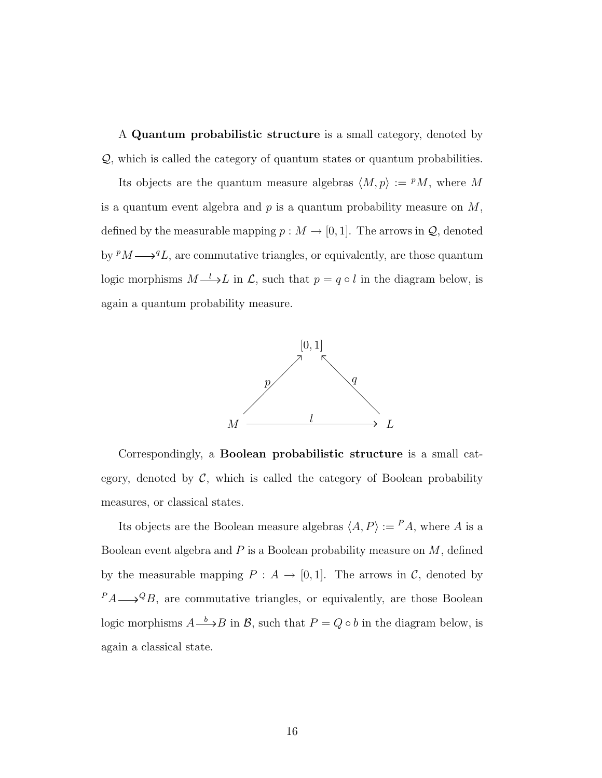A Quantum probabilistic structure is a small category, denoted by Q, which is called the category of quantum states or quantum probabilities.

Its objects are the quantum measure algebras  $\langle M, p \rangle := P M$ , where M is a quantum event algebra and  $p$  is a quantum probability measure on  $M$ , defined by the measurable mapping  $p : M \to [0, 1]$ . The arrows in  $\mathcal{Q}$ , denoted by  $^pM \longrightarrow ^qL$ , are commutative triangles, or equivalently, are those quantum logic morphisms  $M \longrightarrow L$  in  $\mathcal{L}$ , such that  $p = q \circ l$  in the diagram below, is again a quantum probability measure.



Correspondingly, a Boolean probabilistic structure is a small category, denoted by  $C$ , which is called the category of Boolean probability measures, or classical states.

Its objects are the Boolean measure algebras  $\langle A, P \rangle := {}^P A$ , where A is a Boolean event algebra and  $P$  is a Boolean probability measure on  $M$ , defined by the measurable mapping  $P : A \to [0,1]$ . The arrows in C, denoted by  $P_A \longrightarrow Q_B$ , are commutative triangles, or equivalently, are those Boolean logic morphisms  $A \longrightarrow B$  in B, such that  $P = Q \circ b$  in the diagram below, is again a classical state.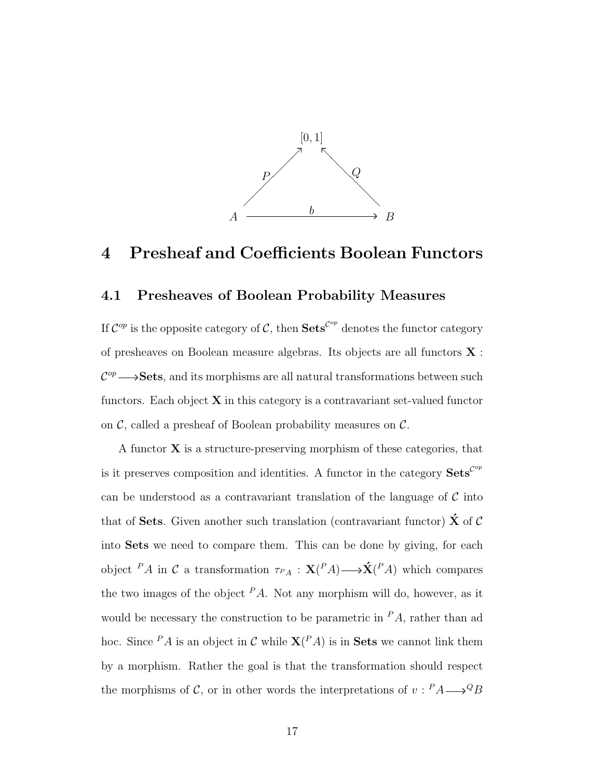

### 4 Presheaf and Coefficients Boolean Functors

### 4.1 Presheaves of Boolean Probability Measures

If  $\mathcal{C}^{op}$  is the opposite category of  $\mathcal{C}$ , then  $\mathbf{Sets}^{\mathcal{C}^{op}}$  denotes the functor category of presheaves on Boolean measure algebras. Its objects are all functors X :  $\mathcal{C}^{op} \longrightarrow$ **Sets**, and its morphisms are all natural transformations between such functors. Each object  $X$  in this category is a contravariant set-valued functor on  $\mathcal{C}$ , called a presheaf of Boolean probability measures on  $\mathcal{C}$ .

A functor  $X$  is a structure-preserving morphism of these categories, that is it preserves composition and identities. A functor in the category  $\textbf{Sets}^{\mathcal{C}^{op}}$ can be understood as a contravariant translation of the language of  $\mathcal C$  into that of Sets. Given another such translation (contravariant functor)  $\hat{\mathbf{X}}$  of C into Sets we need to compare them. This can be done by giving, for each object <sup>P</sup>A in C a transformation  $\tau_{PA}: \mathbf{X}(P_A) \longrightarrow \mathbf{\hat{X}}(P_A)$  which compares the two images of the object  $PA$ . Not any morphism will do, however, as it would be necessary the construction to be parametric in  $PA$ , rather than ad hoc. Since  $PA$  is an object in C while  $\mathbf{X}(PA)$  is in Sets we cannot link them by a morphism. Rather the goal is that the transformation should respect the morphisms of C, or in other words the interpretations of  $v: P A \longrightarrow Q B$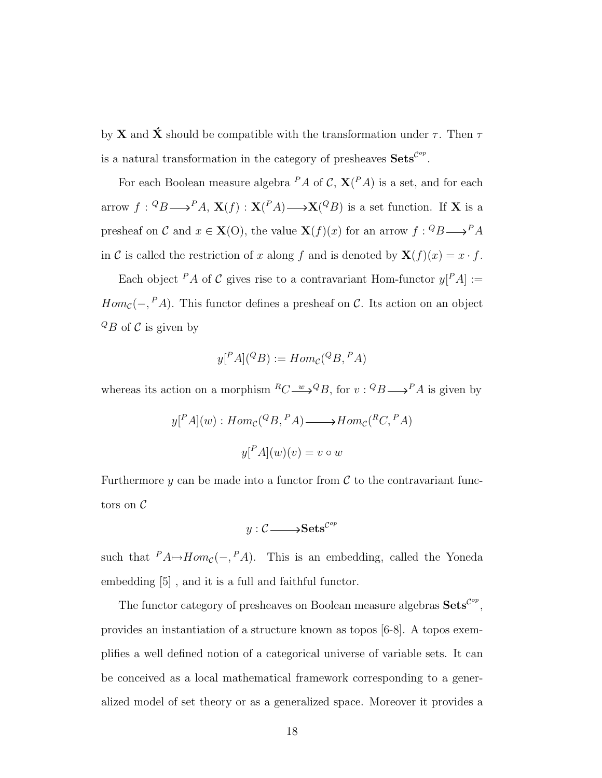by **X** and  $\acute{\mathbf{X}}$  should be compatible with the transformation under  $\tau$ . Then  $\tau$ is a natural transformation in the category of presheaves  $\textbf{Sets}^{\mathcal{C}^{op}}$ .

For each Boolean measure algebra  $PA$  of  $C$ ,  $\mathbf{X}(PA)$  is a set, and for each arrow  $f: {}^Q B {\longrightarrow}^P A$ ,  $\mathbf{X}(f) : \mathbf{X}(^P A) {\longrightarrow} \mathbf{X}(^Q B)$  is a set function. If X is a presheaf on C and  $x \in \mathbf{X}(0)$ , the value  $\mathbf{X}(f)(x)$  for an arrow  $f: {}^Q B \longrightarrow {}^P A$ in C is called the restriction of x along f and is denoted by  $\mathbf{X}(f)(x) = x \cdot f$ .

Each object <sup>P</sup>A of C gives rise to a contravariant Hom-functor  $y[^{P}A] :=$  $Hom_{\mathcal{C}}(-,^P A)$ . This functor defines a presheaf on C. Its action on an object  ${}^{Q}B$  of C is given by

$$
y[{}^P A]({}^Q B) := Hom_{\mathcal{C}}({}^Q B, {}^P A)
$$

whereas its action on a morphism  ${}^R C \longrightarrow {}^Q B$ , for  $v : {}^Q B \longrightarrow {}^P A$  is given by

$$
y[{}^P A](w) : Hom_{\mathcal{C}}({}^Q B, {}^P A) \longrightarrow Hom_{\mathcal{C}}({}^R C, {}^P A)
$$

$$
y[{}^P A](w)(v) = v \circ w
$$

Furthermore  $y$  can be made into a functor from  $\mathcal C$  to the contravariant functors on C

$$
y: \mathcal{C} {\longrightarrow} \mathbf{Sets}^{\mathcal{C}^{op}}
$$

such that  $PA \rightarrow Hom_{\mathcal{C}}(-, PA)$ . This is an embedding, called the Yoneda embedding [5] , and it is a full and faithful functor.

The functor category of presheaves on Boolean measure algebras  $\textbf{Sets}^{\mathcal{C}^{op}},$ provides an instantiation of a structure known as topos [6-8]. A topos exemplifies a well defined notion of a categorical universe of variable sets. It can be conceived as a local mathematical framework corresponding to a generalized model of set theory or as a generalized space. Moreover it provides a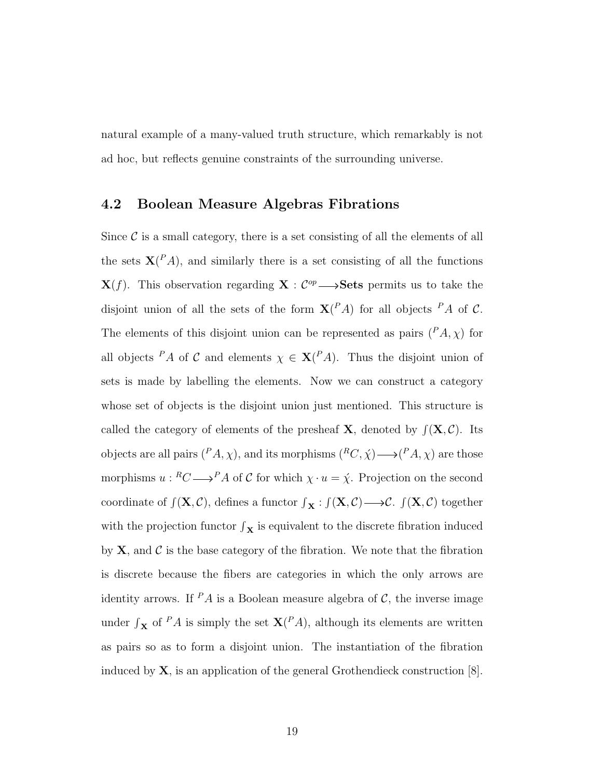natural example of a many-valued truth structure, which remarkably is not ad hoc, but reflects genuine constraints of the surrounding universe.

### 4.2 Boolean Measure Algebras Fibrations

Since  $\mathcal C$  is a small category, there is a set consisting of all the elements of all the sets  $X(^{P}A)$ , and similarly there is a set consisting of all the functions  $\mathbf{X}(f)$ . This observation regarding  $\mathbf{X}: \mathcal{C}^{op} \longrightarrow \mathbf{Sets}$  permits us to take the disjoint union of all the sets of the form  $X(^{P}A)$  for all objects  $^{P}A$  of C. The elements of this disjoint union can be represented as pairs  $(^{P}A, \chi)$  for all objects <sup>P</sup>A of C and elements  $\chi \in \mathbf{X}^{(P_A)}$ . Thus the disjoint union of sets is made by labelling the elements. Now we can construct a category whose set of objects is the disjoint union just mentioned. This structure is called the category of elements of the presheaf **X**, denoted by  $f(\mathbf{X}, \mathcal{C})$ . Its objects are all pairs  $({}^P A, \chi)$ , and its morphisms  $({}^R C, \chi) \longrightarrow ({}^P A, \chi)$  are those morphisms  $u : {}^R C \longrightarrow {}^P A$  of C for which  $\chi \cdot u = \dot{\chi}$ . Projection on the second coordinate of  $f(\mathbf{X}, \mathcal{C})$ , defines a functor  $f_{\mathbf{X}} : f(\mathbf{X}, \mathcal{C}) \longrightarrow \mathcal{C}$ .  $f(\mathbf{X}, \mathcal{C})$  together with the projection functor  $\int_{\mathbf{X}}$  is equivalent to the discrete fibration induced by  $X$ , and  $C$  is the base category of the fibration. We note that the fibration is discrete because the fibers are categories in which the only arrows are identity arrows. If  $P A$  is a Boolean measure algebra of C, the inverse image under  $\int_{\mathbf{X}}$  of <sup>P</sup>A is simply the set  $\mathbf{X}(P_A)$ , although its elements are written as pairs so as to form a disjoint union. The instantiation of the fibration induced by  $X$ , is an application of the general Grothendieck construction  $[8]$ .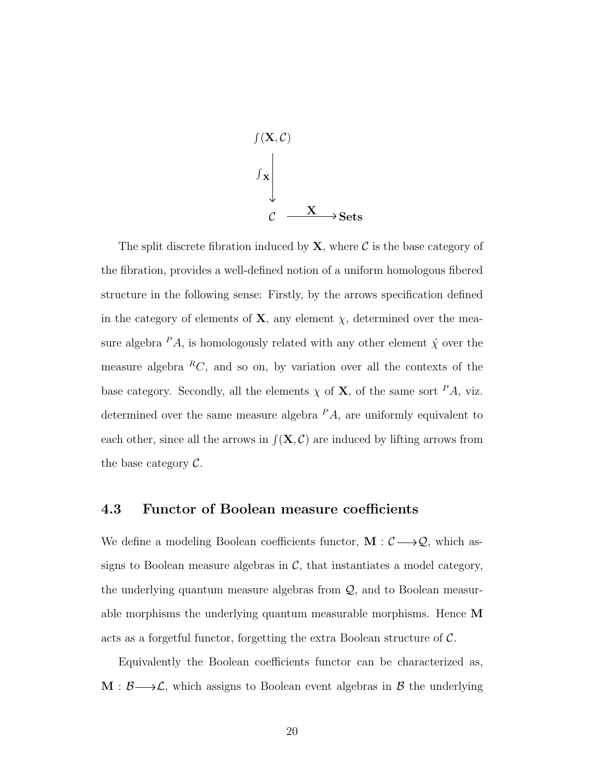

The split discrete fibration induced by  $X$ , where  $C$  is the base category of the fibration, provides a well-defined notion of a uniform homologous fibered structure in the following sense: Firstly, by the arrows specification defined in the category of elements of **X**, any element  $\chi$ , determined over the measure algebra  $PA$ , is homologously related with any other element  $\acute{\chi}$  over the measure algebra  ${}^R C$ , and so on, by variation over all the contexts of the base category. Secondly, all the elements  $\chi$  of **X**, of the same sort  $^P A$ , viz. determined over the same measure algebra  $PA$ , are uniformly equivalent to each other, since all the arrows in  $f(\mathbf{X}, \mathcal{C})$  are induced by lifting arrows from the base category  $\mathcal{C}.$ 

#### 4.3 Functor of Boolean measure coefficients

We define a modeling Boolean coefficients functor,  $\mathbf{M}: \mathcal{C} \longrightarrow \mathcal{Q}$ , which assigns to Boolean measure algebras in  $\mathcal{C}$ , that instantiates a model category, the underlying quantum measure algebras from Q, and to Boolean measurable morphisms the underlying quantum measurable morphisms. Hence M acts as a forgetful functor, forgetting the extra Boolean structure of  $\mathcal{C}$ .

Equivalently the Boolean coefficients functor can be characterized as,  $M : \mathcal{B} \longrightarrow \mathcal{L}$ , which assigns to Boolean event algebras in  $\mathcal{B}$  the underlying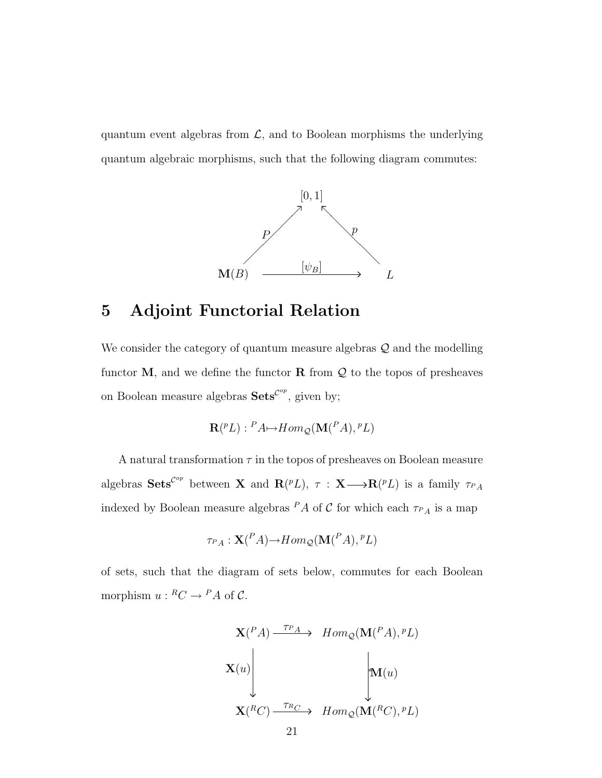quantum event algebras from  $\mathcal{L}$ , and to Boolean morphisms the underlying quantum algebraic morphisms, such that the following diagram commutes:



### 5 Adjoint Functorial Relation

We consider the category of quantum measure algebras  $\mathcal Q$  and the modelling functor  $M$ , and we define the functor  $R$  from  $Q$  to the topos of presheaves on Boolean measure algebras  $\textbf{Sets}^{\mathcal{C}^{op}}$ , given by;

$$
\mathbf{R}(^pL): {}^P A \rightarrow Hom_{\mathcal{Q}}(\mathbf{M}(^P A), {}^p L)
$$

A natural transformation  $\tau$  in the topos of presheaves on Boolean measure algebras  $\textbf{Sets}^{\mathcal{C}^{op}}$  between **X** and  $\mathbf{R}(^pL)$ ,  $\tau : \mathbf{X} \longrightarrow \mathbf{R}(^pL)$  is a family  $\tau_{P_A}$ indexed by Boolean measure algebras  $^P A$  of  $\mathcal C$  for which each  $\tau_{PA}$  is a map

$$
\tau_{P_A}: \mathbf{X}(\mathbf{A}) {\rightarrow} Hom_{\mathcal{Q}}(\mathbf{M}(\mathbf{A}), \mathbf{A})
$$

of sets, such that the diagram of sets below, commutes for each Boolean morphism  $u: {^R}C \to {^P}A$  of C.

$$
\mathbf{X}(\binom{P}{A}) \xrightarrow{\tau_{P}} \quad Hom_{\mathcal{Q}}(\mathbf{M}(\binom{P}{A}), ^{p}L)
$$
\n
$$
\mathbf{X}(u) \qquad \qquad \downarrow \mathbf{M}(u)
$$
\n
$$
\mathbf{X}(\binom{R}{C}) \xrightarrow{\tau_{R}} \quad Hom_{\mathcal{Q}}(\mathbf{M}(\binom{R}{C}), ^{p}L)
$$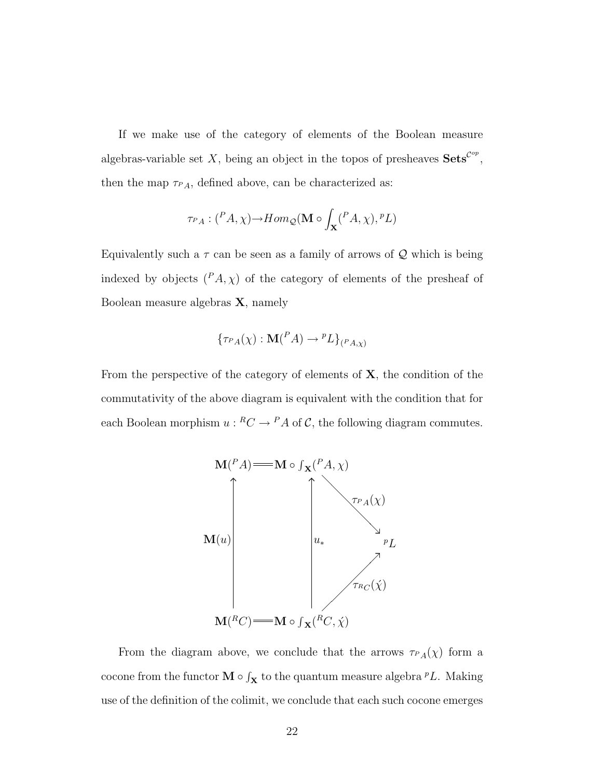If we make use of the category of elements of the Boolean measure algebras-variable set X, being an object in the topos of presheaves  $\textbf{Sets}^{\mathcal{C}^{op}},$ then the map  $\tau_{PA}$ , defined above, can be characterized as:

$$
\tau_{PA}: \binom{P}{A}, \chi \longrightarrow Hom_{\mathcal{Q}}(\mathbf{M} \circ \int_{\mathbf{X}} \binom{P}{A}, \chi), {}^{P}L)
$$

Equivalently such a  $\tau$  can be seen as a family of arrows of  $\mathcal Q$  which is being indexed by objects  $(^{P}A, \chi)$  of the category of elements of the presheaf of Boolean measure algebras X, namely

$$
\{\tau_{P\hat{A}}(\chi): \mathbf{M}(^P A) \to {^pL}\}_{{P\hat{A}},\chi}
$$

From the perspective of the category of elements of  $X$ , the condition of the commutativity of the above diagram is equivalent with the condition that for each Boolean morphism  $u: {^R}C \to {^P}A$  of C, the following diagram commutes.



From the diagram above, we conclude that the arrows  $\tau_{PA}(\chi)$  form a cocone from the functor  $\mathbf{M} \circ \int_{\mathbf{X}}$  to the quantum measure algebra <sup>*p*</sup>L. Making use of the definition of the colimit, we conclude that each such cocone emerges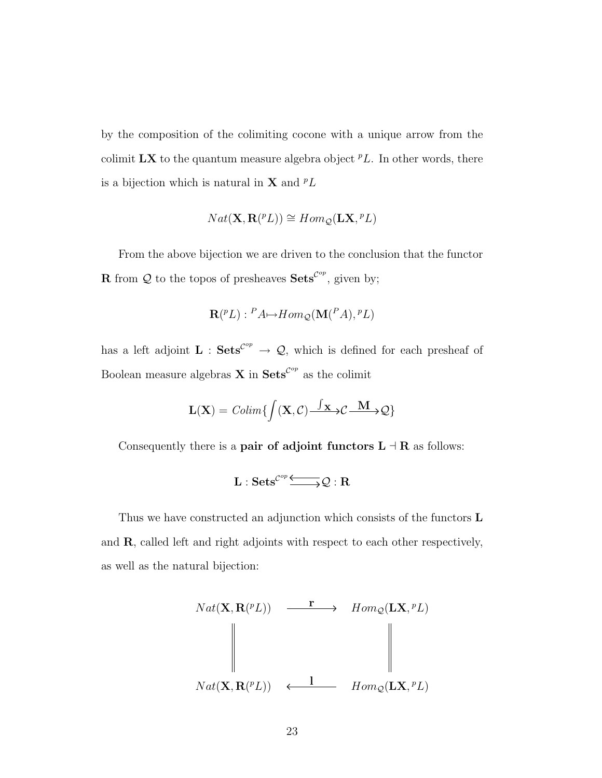by the composition of the colimiting cocone with a unique arrow from the colimit  $\mathbf{L}\mathbf{X}$  to the quantum measure algebra object  $^pL$ . In other words, there is a bijection which is natural in **X** and  $^pL$ 

$$
Nat(\mathbf{X}, \mathbf{R}(^p L)) \cong Hom_{\mathcal{Q}}(\mathbf{L}\mathbf{X}, {}^p L)
$$

From the above bijection we are driven to the conclusion that the functor **R** from Q to the topos of presheaves  $\textbf{Sets}^{\mathcal{C}^{op}}$ , given by;

$$
\mathbf{R}(^pL): {}^P A \rightarrow Hom_{\mathcal{Q}}(\mathbf{M}(^P A), {}^p L)
$$

has a left adjoint  $\mathbf{L}$ :  $\mathbf{Sets}^{\mathcal{C}^{op}} \to \mathcal{Q}$ , which is defined for each presheaf of Boolean measure algebras **X** in  $\textbf{Sets}^{\mathcal{C}^{op}}$  as the colimit

$$
\mathbf{L}(\mathbf{X}) = \text{Colim}\left\{ \int (\mathbf{X}, \mathcal{C}) \frac{\int \mathbf{x} \, \Delta \mathcal{C} \, \mathbf{M}}{\int \mathbf{x} \, \Delta \mathcal{C}} \right\}
$$

Consequently there is a **pair of adjoint functors L**  $\exists$  **R** as follows:

$$
L:Sets^{{\cal C}^{op}}\xrightarrow{\ \ \ \ \ \ \ \ } {\cal Q}:R
$$

Thus we have constructed an adjunction which consists of the functors L and R, called left and right adjoints with respect to each other respectively, as well as the natural bijection:

$$
Nat(X, \mathbf{R}^{(PL)}) \xrightarrow{\mathbf{r}} Hom_{\mathcal{Q}}(\mathbf{L}X, {}^{p}L)
$$
\n
$$
\downarrow \qquad \qquad \downarrow
$$
\n
$$
Nat(X, \mathbf{R}^{(PL)}) \xleftarrow{\mathbf{l}} Hom_{\mathcal{Q}}(\mathbf{L}X, {}^{p}L)
$$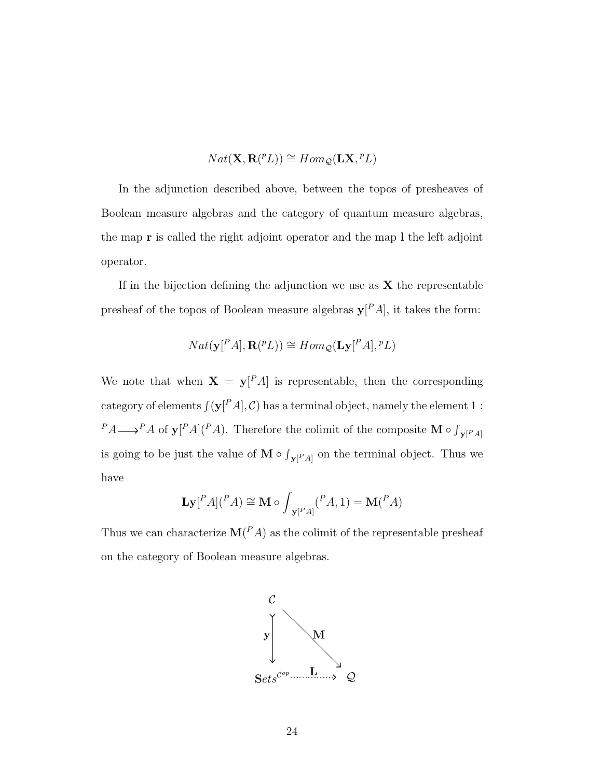$$
Nat(\mathbf{X}, \mathbf{R}(^p L)) \cong Hom_{\mathcal{Q}}(\mathbf{L}\mathbf{X}, {}^p L)
$$

In the adjunction described above, between the topos of presheaves of Boolean measure algebras and the category of quantum measure algebras, the map r is called the right adjoint operator and the map l the left adjoint operator.

If in the bijection defining the adjunction we use as  $X$  the representable presheaf of the topos of Boolean measure algebras  $y^{\dagger} A$ , it takes the form:

$$
Nat(\mathbf{y}[^P A], \mathbf{R}(^p L)) \cong Hom_{\mathcal{Q}}(\mathbf{L}\mathbf{y}[^P A], {^p L})
$$

We note that when  $X = y^P A$  is representable, then the corresponding category of elements  $\int (\mathbf{y}[PA], \mathcal{C})$  has a terminal object, namely the element 1 :  $P_A \longrightarrow P_A$  of  $\mathbf{y}[P_A](P_A)$ . Therefore the colimit of the composite M  $\circ \int_{\mathbf{y}[P_A]} P_A$ is going to be just the value of  $M \circ \int_{\mathbf{y}|P,A|}$  on the terminal object. Thus we have

$$
\mathbf{Ly}[^{P}A](^{P}A) \cong \mathbf{M} \circ \int_{\mathbf{y}[^{P}A]} (^{P}A, 1) = \mathbf{M}(^{P}A)
$$

Thus we can characterize  $\mathbf{M}(P,A)$  as the colimit of the representable presheaf on the category of Boolean measure algebras.

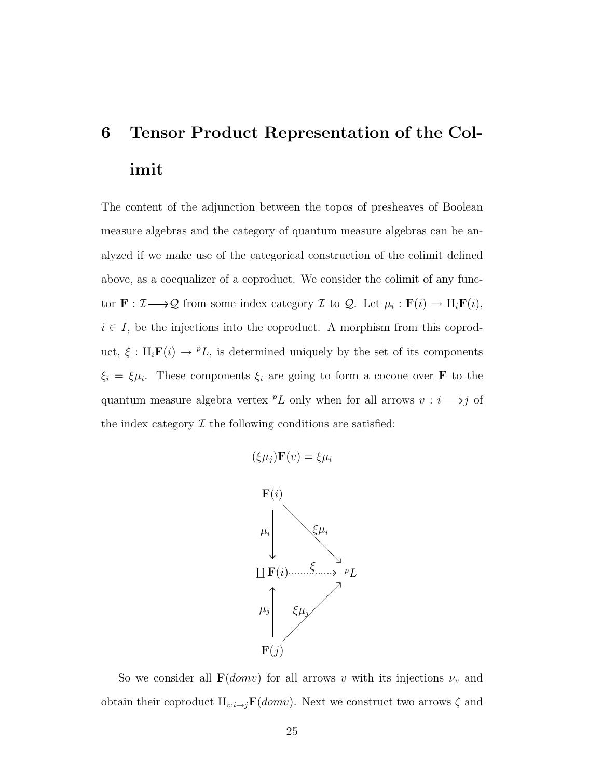## 6 Tensor Product Representation of the Colimit

The content of the adjunction between the topos of presheaves of Boolean measure algebras and the category of quantum measure algebras can be analyzed if we make use of the categorical construction of the colimit defined above, as a coequalizer of a coproduct. We consider the colimit of any functor  $\mathbf{F} : \mathcal{I} \longrightarrow \mathcal{Q}$  from some index category  $\mathcal{I}$  to  $\mathcal{Q}$ . Let  $\mu_i : \mathbf{F}(i) \rightarrow \mathrm{II}_i \mathbf{F}(i)$ ,  $i \in I$ , be the injections into the coproduct. A morphism from this coproduct,  $\xi : \mathcal{L}_i \mathbf{F}(i) \to {}^pL$ , is determined uniquely by the set of its components  $\xi_i = \xi \mu_i$ . These components  $\xi_i$  are going to form a cocone over **F** to the quantum measure algebra vertex  $^pL$  only when for all arrows  $v : i \longrightarrow j$  of the index category  $\mathcal I$  the following conditions are satisfied:

$$
(\xi \mu_j) \mathbf{F}(v) = \xi \mu_i
$$



So we consider all  $\mathbf{F}(domv)$  for all arrows v with its injections  $\nu_v$  and obtain their coproduct  $\mathbf{H}_{v:i\rightarrow j}\mathbf{F}(domv)$ . Next we construct two arrows  $\zeta$  and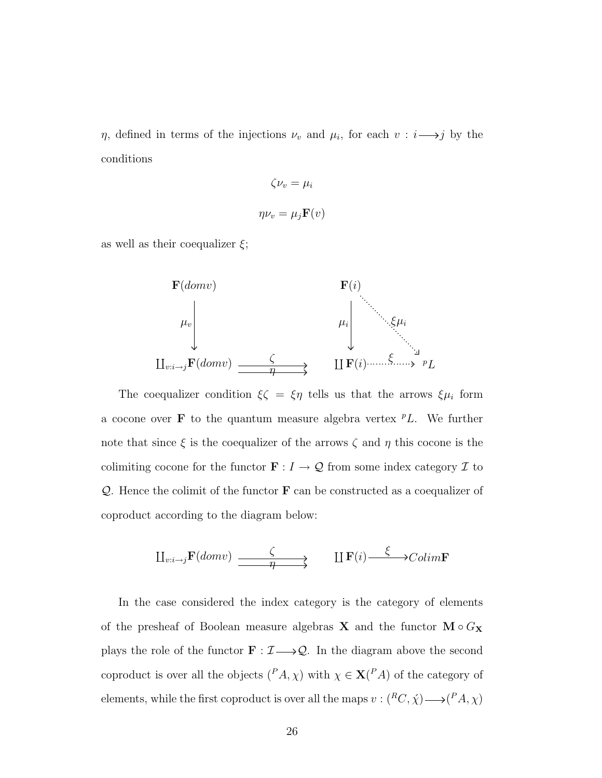$\eta$ , defined in terms of the injections  $\nu_v$  and  $\mu_i$ , for each  $v : i \longrightarrow j$  by the conditions

$$
\zeta \nu_v = \mu_i
$$

$$
\eta \nu_v = \mu_j \mathbf{F}(v)
$$

as well as their coequalizer  $\xi$ ;



The coequalizer condition  $\xi \zeta = \xi \eta$  tells us that the arrows  $\xi \mu_i$  form a cocone over **F** to the quantum measure algebra vertex  $^pL$ . We further note that since  $\xi$  is the coequalizer of the arrows  $\zeta$  and  $\eta$  this cocone is the colimiting cocone for the functor  $\mathbf{F}:I\rightarrow \mathcal{Q}$  from some index category  $\mathcal I$  to  $Q$ . Hence the colimit of the functor  $\bf{F}$  can be constructed as a coequalizer of coproduct according to the diagram below:

$$
\underline{\Pi}_{v:i \to j} \mathbf{F}(domv) \xrightarrow{\zeta} \underline{\Pi} \mathbf{F}(i) \xrightarrow{\xi} \neg \text{Colim} \mathbf{F}
$$

In the case considered the index category is the category of elements of the presheaf of Boolean measure algebras **X** and the functor  $\mathbf{M} \circ G_{\mathbf{X}}$ plays the role of the functor  $\mathbf{F} : \mathcal{I} \longrightarrow \mathcal{Q}$ . In the diagram above the second coproduct is over all the objects  $({}^P A, \chi)$  with  $\chi \in {\bf X}({}^P A)$  of the category of elements, while the first coproduct is over all the maps  $v:(^RC,\chi) \longrightarrow (^P A,\chi)$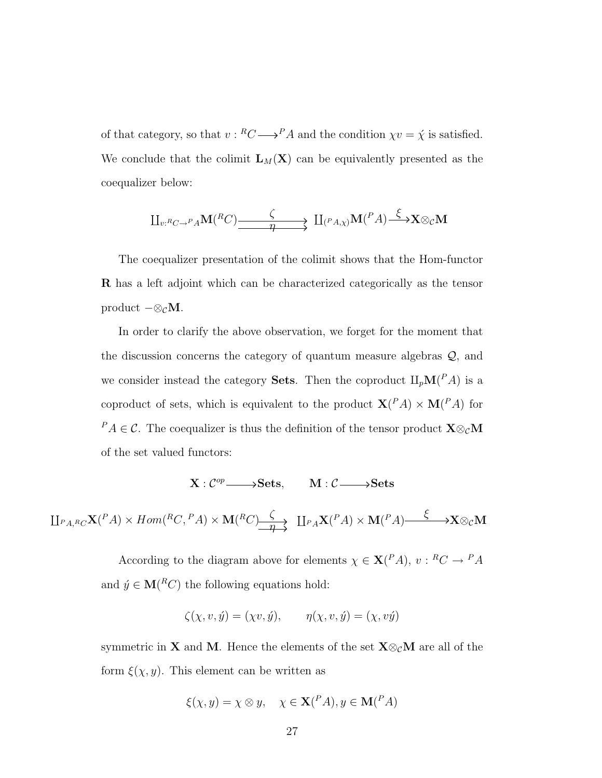of that category, so that  $v: {^R}C \longrightarrow {^P}A$  and the condition  $\chi v = \acute{\chi}$  is satisfied. We conclude that the colimit  $L_M(X)$  can be equivalently presented as the coequalizer below:

$$
\amalg_{v: {^{R}C}\to {^{P}A}} \mathbf{M}({^{R}C})\xrightarrow{\zeta} \amalg_{({^{P}A},\chi)} \mathbf{M}({^{P}A})\xrightarrow{\xi} \mathbf{X} \otimes_{\mathcal{C}} \mathbf{M}
$$

The coequalizer presentation of the colimit shows that the Hom-functor R has a left adjoint which can be characterized categorically as the tensor product  $-\otimes_{\mathcal{C}}\mathbf{M}$ .

In order to clarify the above observation, we forget for the moment that the discussion concerns the category of quantum measure algebras Q, and we consider instead the category **Sets**. Then the coproduct  $\amalg_p M(^P A)$  is a coproduct of sets, which is equivalent to the product  $X(^{P}A) \times M(^{P}A)$  for <sup>P</sup>A ∈ C. The coequalizer is thus the definition of the tensor product  $\mathbf{X} \otimes_{\mathcal{C}} \mathbf{M}$ of the set valued functors:

 $X : C^{op} \longrightarrow$ Sets, M :  $C \longrightarrow$ Sets

 $\mathop{\amalg}_{P_A,R_C} \mathbf{X}(P_A) \times Hom(R_C, P_A) \times \mathbf{M}(R_C) \rightarrow$  $\overline{Q}$   $\qquad \qquad \downarrow P_A \mathbf{X} (P_A) \times \mathbf{M} (P_A) \longrightarrow \mathbf{X} \otimes_{\mathcal{C}} \mathbf{M}$ 

> According to the diagram above for elements  $\chi \in \mathbf{X}^{(P_A)}, v : {^R}C \to {^P}A$ and  $\acute{y} \in M(^{R}C)$  the following equations hold:

$$
\zeta(\chi, v, \acute{y}) = (\chi v, \acute{y}), \qquad \eta(\chi, v, \acute{y}) = (\chi, v\acute{y})
$$

symmetric in **X** and **M**. Hence the elements of the set  $\mathbf{X} \otimes_{\mathcal{C}} \mathbf{M}$  are all of the form  $\xi(\chi, y)$ . This element can be written as

$$
\xi(\chi, y) = \chi \otimes y, \quad \chi \in \mathbf{X}({}^P A), y \in \mathbf{M}({}^P A)
$$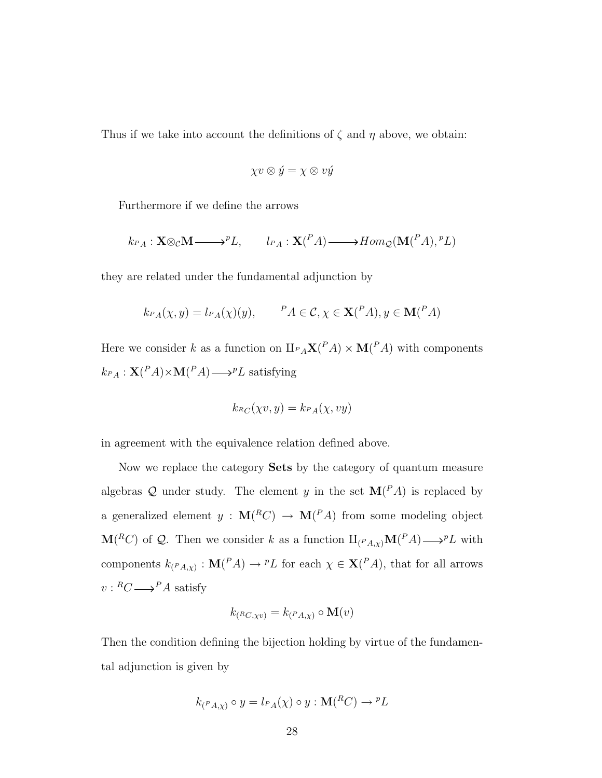Thus if we take into account the definitions of  $\zeta$  and  $\eta$  above, we obtain:

$$
\chi v\otimes \acute{y}=\chi\otimes v\acute{y}
$$

Furthermore if we define the arrows

$$
k_{P_A}: \mathbf{X} \otimes_{\mathcal{C}} \mathbf{M} \longrightarrow^{p} L, \qquad l_{P_A}: \mathbf{X}({}^P A) \longrightarrow Hom_{\mathcal{Q}}(\mathbf{M}({}^P A), {}^p L)
$$

they are related under the fundamental adjunction by

$$
k_{PA}(\chi, y) = l_{PA}(\chi)(y), \qquad {}^{P}A \in \mathcal{C}, \chi \in \mathbf{X}({}^{P}A), y \in \mathbf{M}({}^{P}A)
$$

Here we consider k as a function on  $\amalg_{PA} X(^{P}A) \times M(^{P}A)$  with components  $k_{PA}: \mathbf{X}(PA) \times \mathbf{M}(PA) \longrightarrow^{p} L$  satisfying

$$
k_{\mathit{R}_C}(\chi v, y) = k_{\mathit{P}_A}(\chi, vy)
$$

in agreement with the equivalence relation defined above.

Now we replace the category Sets by the category of quantum measure algebras Q under study. The element y in the set  $\mathbf{M}(P,A)$  is replaced by a generalized element  $y : M(^{R}C) \rightarrow M(^{P}A)$  from some modeling object  $\mathbf{M}(^RC)$  of Q. Then we consider k as a function  $\amalg_{(P_A,\chi)}\mathbf{M}(^PA)\longrightarrow P\amalg$  with components  $k_{(PA,\chi)} : \mathbf{M}(PA) \to {}^pL$  for each  $\chi \in \mathbf{X}(PA)$ , that for all arrows  $v: {^R}C {\longrightarrow} {^P}A$  satisfy

$$
k_{({}^{R}C,\chi v)} = k_{({}^{P}A,\chi)} \circ \mathbf{M}(v)
$$

Then the condition defining the bijection holding by virtue of the fundamental adjunction is given by

$$
k_{(PA,\chi)} \circ y = l_{PA}(\chi) \circ y : \mathbf{M}(^{R}C) \to {^{p}L}
$$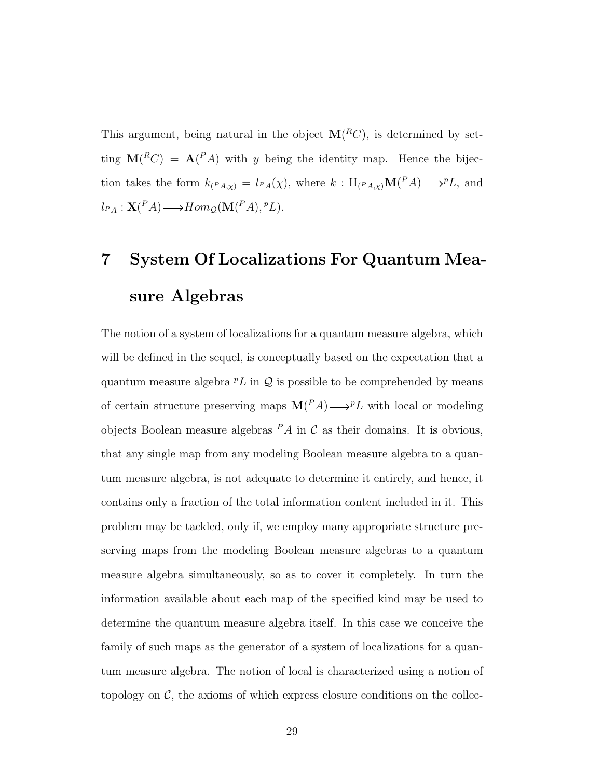This argument, being natural in the object  $\mathbf{M}(^{R}C)$ , is determined by setting  $\mathbf{M}(^RC) = \mathbf{A}(^P A)$  with y being the identity map. Hence the bijection takes the form  $k_{(PA,\chi)} = l_{PA}(\chi)$ , where  $k: \amalg_{(PA,\chi)} \mathbf{M}(PA) \longrightarrow^p L$ , and  $l_{PA}: \mathbf{X}(^P A) \longrightarrow Hom_{\mathcal{Q}}(\mathbf{M}(^P A), {^p}L).$ 

# 7 System Of Localizations For Quantum Measure Algebras

The notion of a system of localizations for a quantum measure algebra, which will be defined in the sequel, is conceptually based on the expectation that a quantum measure algebra  ${}^pL$  in  $Q$  is possible to be comprehended by means of certain structure preserving maps  $\mathbf{M}(P_A) \longrightarrow P_L$  with local or modeling objects Boolean measure algebras  $PA$  in C as their domains. It is obvious, that any single map from any modeling Boolean measure algebra to a quantum measure algebra, is not adequate to determine it entirely, and hence, it contains only a fraction of the total information content included in it. This problem may be tackled, only if, we employ many appropriate structure preserving maps from the modeling Boolean measure algebras to a quantum measure algebra simultaneously, so as to cover it completely. In turn the information available about each map of the specified kind may be used to determine the quantum measure algebra itself. In this case we conceive the family of such maps as the generator of a system of localizations for a quantum measure algebra. The notion of local is characterized using a notion of topology on  $\mathcal{C}$ , the axioms of which express closure conditions on the collec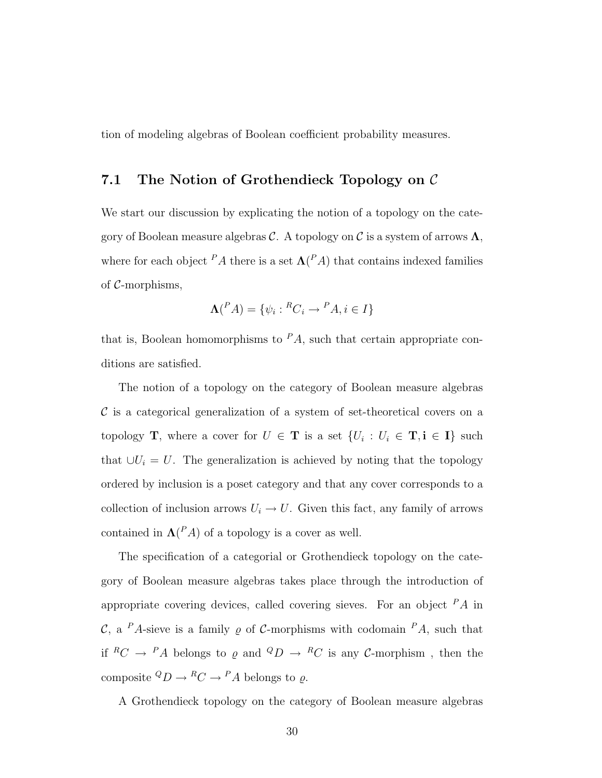tion of modeling algebras of Boolean coefficient probability measures.

### 7.1 The Notion of Grothendieck Topology on C

We start our discussion by explicating the notion of a topology on the category of Boolean measure algebras C. A topology on C is a system of arrows  $\Lambda$ , where for each object  $^P A$  there is a set  $\Lambda(^P A)$  that contains indexed families of C-morphisms,

$$
\mathbf{\Lambda}^{P}(A) = \{ \psi_i : {}^{R}C_i \to {}^{P}A, i \in I \}
$$

that is, Boolean homomorphisms to  $PA$ , such that certain appropriate conditions are satisfied.

The notion of a topology on the category of Boolean measure algebras  $\mathcal C$  is a categorical generalization of a system of set-theoretical covers on a topology **T**, where a cover for  $U \in$  **T** is a set  $\{U_i : U_i \in$  **T**, i  $\in$  **I**} such that  $\bigcup U_i = U$ . The generalization is achieved by noting that the topology ordered by inclusion is a poset category and that any cover corresponds to a collection of inclusion arrows  $U_i \to U$ . Given this fact, any family of arrows contained in  $\Lambda$ <sup>(P</sup>A) of a topology is a cover as well.

The specification of a categorial or Grothendieck topology on the category of Boolean measure algebras takes place through the introduction of appropriate covering devices, called covering sieves. For an object  $PA$  in C, a <sup>P</sup>A-sieve is a family  $\rho$  of C-morphisms with codomain <sup>P</sup>A, such that if  ${}^RC \rightarrow {}^PA$  belongs to  $\varrho$  and  ${}^QD \rightarrow {}^RC$  is any C-morphism, then the composite  ${}^Q D \to {}^R C \to {}^P A$  belongs to  $\varrho$ .

A Grothendieck topology on the category of Boolean measure algebras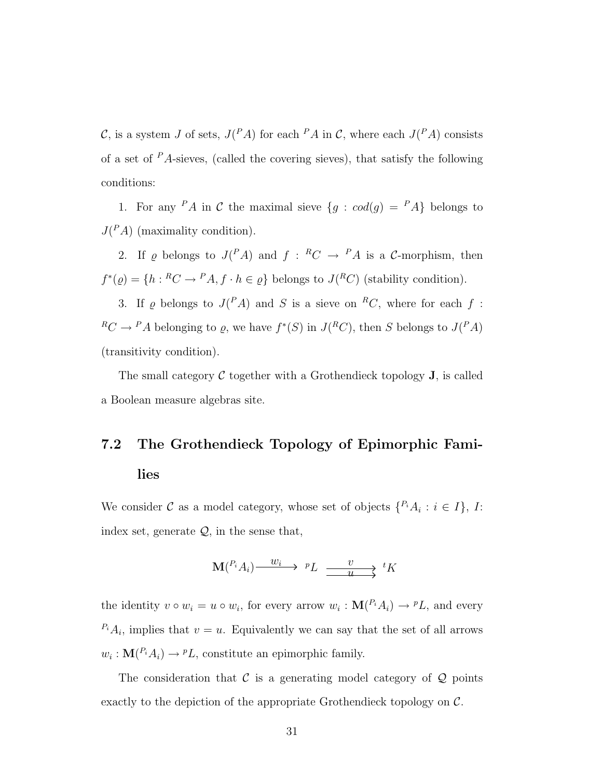C, is a system J of sets,  $J(^{P}A)$  for each  $^{P}A$  in C, where each  $J(^{P}A)$  consists of a set of  $\mathbb{P}$  A-sieves, (called the covering sieves), that satisfy the following conditions:

1. For any  $PA$  in C the maximal sieve  $\{g : cod(g) = PA\}$  belongs to  $J(^{P}A)$  (maximality condition).

2. If  $\varrho$  belongs to  $J(^{P}A)$  and  $f: {^{R}C} \rightarrow {^{P}A}$  is a C-morphism, then  $f^*(\varrho) = \{h : {}^R C \to {}^P A, f \cdot h \in \varrho\}$  belongs to  $J({}^R C)$  (stability condition).

3. If  $\varrho$  belongs to  $J(^{P}A)$  and S is a sieve on <sup>R</sup>C, where for each f:  ${}^R C \to {}^P A$  belonging to  $\varrho$ , we have  $f^*(S)$  in  $J({}^R C)$ , then S belongs to  $J({}^P A)$ (transitivity condition).

The small category  $\mathcal C$  together with a Grothendieck topology  $J$ , is called a Boolean measure algebras site.

## 7.2 The Grothendieck Topology of Epimorphic Families

We consider C as a model category, whose set of objects  $\{P_iA_i : i \in I\}$ , I: index set, generate  $\mathcal{Q}$ , in the sense that,

$$
\mathbf{M}(^{P_i}A_i) \xrightarrow{w_i} {}^{p}L \xrightarrow{v} {}^{t}K
$$

the identity  $v \circ w_i = u \circ w_i$ , for every arrow  $w_i : \mathbf{M}(P_i A_i) \to P L$ , and every  $P_i A_i$ , implies that  $v = u$ . Equivalently we can say that the set of all arrows  $w_i: \mathbf{M}(P_i A_i) \to P L$ , constitute an epimorphic family.

The consideration that  $\mathcal C$  is a generating model category of  $\mathcal Q$  points exactly to the depiction of the appropriate Grothendieck topology on  $\mathcal{C}$ .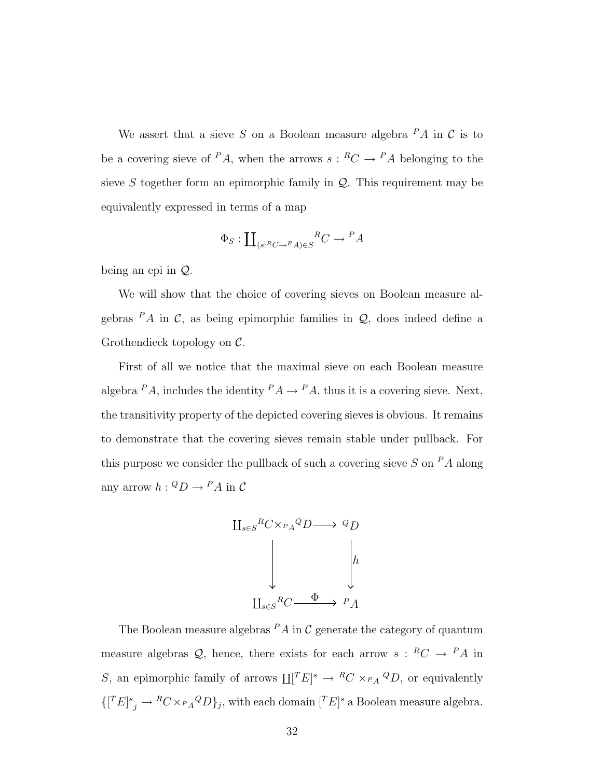We assert that a sieve S on a Boolean measure algebra  $PA$  in C is to be a covering sieve of <sup>P</sup>A, when the arrows  $s: {^R}C \to {^P}A$  belonging to the sieve  $S$  together form an epimorphic family in  $Q$ . This requirement may be equivalently expressed in terms of a map

$$
\Phi_S: \coprod\nolimits_{(s : ^RC \to ^P A) \in S} {^R C} \to {^P A}
$$

being an epi in Q.

We will show that the choice of covering sieves on Boolean measure algebras  $PA$  in C, as being epimorphic families in Q, does indeed define a Grothendieck topology on C.

First of all we notice that the maximal sieve on each Boolean measure algebra  $^P A$ , includes the identity  $^P A \rightarrow ^P A$ , thus it is a covering sieve. Next, the transitivity property of the depicted covering sieves is obvious. It remains to demonstrate that the covering sieves remain stable under pullback. For this purpose we consider the pullback of such a covering sieve  $S$  on  $^P A$  along any arrow  $h: {}^Q D \to {}^P A$  in C



The Boolean measure algebras  $PA$  in  $C$  generate the category of quantum measure algebras  $\mathcal{Q}$ , hence, there exists for each arrow  $s: {^R}C \to {^P}A$  in S, an epimorphic family of arrows  $\coprod [T E]^s \to {}^R C \times_{P_A} {}^Q D$ , or equivalently  $\{ [^T E]^s_j \to {^RC} \times {_{P_A}}^Q D \}_j$ , with each domain  $[^T E]^s$  a Boolean measure algebra.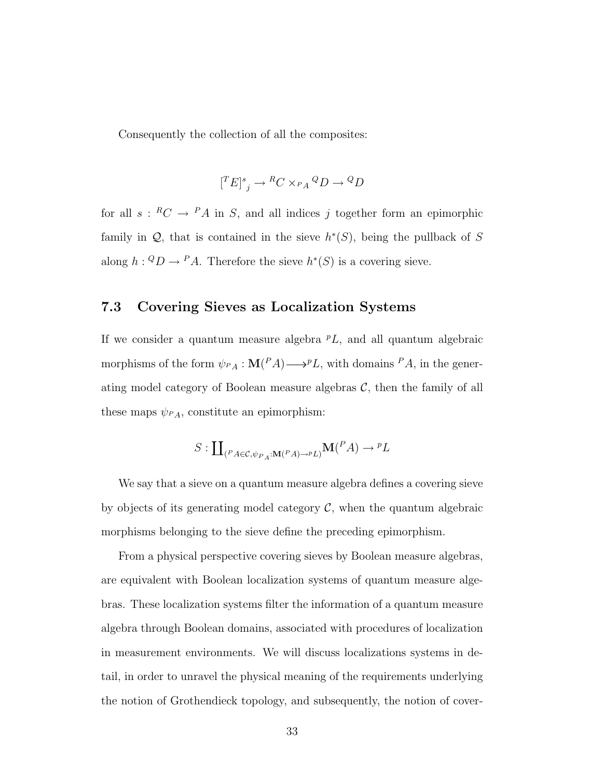Consequently the collection of all the composites:

$$
[{}^T E]^s{}_j \to {}^R C \times_{P_A} {}^Q D \to {}^Q D
$$

for all  $s: {^R}C \to {^P}A$  in S, and all indices j together form an epimorphic family in  $\mathcal{Q}$ , that is contained in the sieve  $h^*(S)$ , being the pullback of S along  $h: {}^Q D \to {}^P A$ . Therefore the sieve  $h^*(S)$  is a covering sieve.

### 7.3 Covering Sieves as Localization Systems

If we consider a quantum measure algebra  $^pL$ , and all quantum algebraic morphisms of the form  $\psi_{PA} : \mathbf{M}(PA) \longrightarrow^{p} L$ , with domains  $PA$ , in the generating model category of Boolean measure algebras  $C$ , then the family of all these maps  $\psi_{PA}$ , constitute an epimorphism:

$$
S: \coprod_{(P_A \in \mathcal{C}, \psi_{P_A}: \mathbf{M}(P_A) \to P_L)} \mathbf{M}(P_A) \to {}^pL
$$

We say that a sieve on a quantum measure algebra defines a covering sieve by objects of its generating model category  $\mathcal{C}$ , when the quantum algebraic morphisms belonging to the sieve define the preceding epimorphism.

From a physical perspective covering sieves by Boolean measure algebras, are equivalent with Boolean localization systems of quantum measure algebras. These localization systems filter the information of a quantum measure algebra through Boolean domains, associated with procedures of localization in measurement environments. We will discuss localizations systems in detail, in order to unravel the physical meaning of the requirements underlying the notion of Grothendieck topology, and subsequently, the notion of cover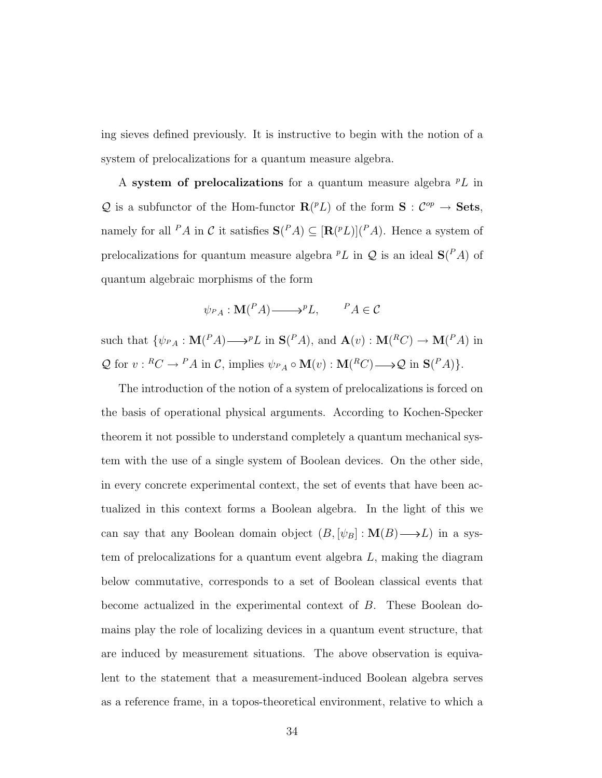ing sieves defined previously. It is instructive to begin with the notion of a system of prelocalizations for a quantum measure algebra.

A system of prelocalizations for a quantum measure algebra  ${}^pL$  in Q is a subfunctor of the Hom-functor  $\mathbf{R}^{(p)} L$  of the form  $\mathbf{S}: C^{op} \to \mathbf{Sets}$ , namely for all <sup>P</sup>A in C it satisfies  $S(^{P}A) \subseteq [R(^{p}L)](^{P}A)$ . Hence a system of prelocalizations for quantum measure algebra  ${}^pL$  in  $Q$  is an ideal  $\mathbf{S}(P_A)$  of quantum algebraic morphisms of the form

$$
\psi_{P_A}: \mathbf{M}(^P A) \longrightarrow^p L, \qquad ^P A \in \mathcal{C}
$$

such that  $\{\psi_{P_A}: \mathbf{M}(P_A) \longrightarrow^p L \text{ in } \mathbf{S}(P_A), \text{ and } \mathbf{A}(v): \mathbf{M}(^R C) \longrightarrow \mathbf{M}(^P A) \text{ in }$  $\mathcal Q$  for  $v: {^RC} \to {^PA}$  in  $\mathcal C$ , implies  $\psi_{P_A} \circ \mathbf M(v) : \mathbf M({^RC}) \longrightarrow \mathcal Q$  in  $\mathbf S({^PA})\}.$ 

The introduction of the notion of a system of prelocalizations is forced on the basis of operational physical arguments. According to Kochen-Specker theorem it not possible to understand completely a quantum mechanical system with the use of a single system of Boolean devices. On the other side, in every concrete experimental context, the set of events that have been actualized in this context forms a Boolean algebra. In the light of this we can say that any Boolean domain object  $(B, [\psi_B] : M(B) \longrightarrow L)$  in a system of prelocalizations for a quantum event algebra  $L$ , making the diagram below commutative, corresponds to a set of Boolean classical events that become actualized in the experimental context of B. These Boolean domains play the role of localizing devices in a quantum event structure, that are induced by measurement situations. The above observation is equivalent to the statement that a measurement-induced Boolean algebra serves as a reference frame, in a topos-theoretical environment, relative to which a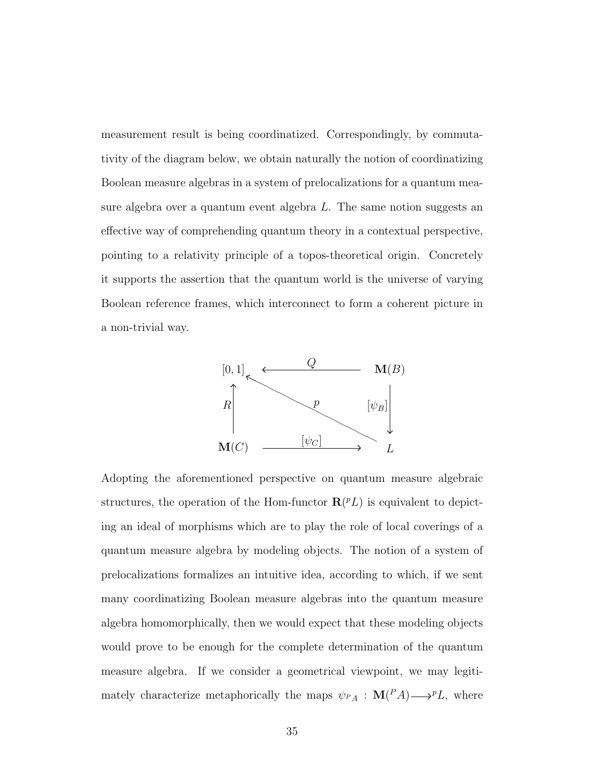measurement result is being coordinatized. Correspondingly, by commutativity of the diagram below, we obtain naturally the notion of coordinatizing Boolean measure algebras in a system of prelocalizations for a quantum measure algebra over a quantum event algebra L. The same notion suggests an effective way of comprehending quantum theory in a contextual perspective, pointing to a relativity principle of a topos-theoretical origin. Concretely it supports the assertion that the quantum world is the universe of varying Boolean reference frames, which interconnect to form a coherent picture in a non-trivial way.



Adopting the aforementioned perspective on quantum measure algebraic structures, the operation of the Hom-functor  $\mathbf{R}^{(PL)}$  is equivalent to depicting an ideal of morphisms which are to play the role of local coverings of a quantum measure algebra by modeling objects. The notion of a system of prelocalizations formalizes an intuitive idea, according to which, if we sent many coordinatizing Boolean measure algebras into the quantum measure algebra homomorphically, then we would expect that these modeling objects would prove to be enough for the complete determination of the quantum measure algebra. If we consider a geometrical viewpoint, we may legitimately characterize metaphorically the maps  $\psi_{P_A}: \mathbf{M}(P_A) \longrightarrow P_A$ , where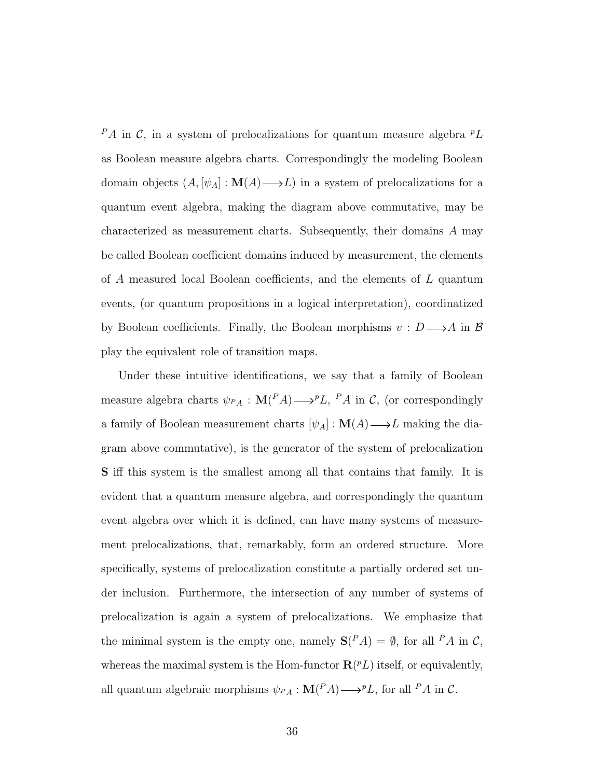$P_A$  in C, in a system of prelocalizations for quantum measure algebra  $P_L$ as Boolean measure algebra charts. Correspondingly the modeling Boolean domain objects  $(A, [\psi_A] : \mathbf{M}(A) \longrightarrow L)$  in a system of prelocalizations for a quantum event algebra, making the diagram above commutative, may be characterized as measurement charts. Subsequently, their domains A may be called Boolean coefficient domains induced by measurement, the elements of A measured local Boolean coefficients, and the elements of L quantum events, (or quantum propositions in a logical interpretation), coordinatized by Boolean coefficients. Finally, the Boolean morphisms  $v : D \longrightarrow A$  in  $\beta$ play the equivalent role of transition maps.

Under these intuitive identifications, we say that a family of Boolean measure algebra charts  $\psi_{PA} : \mathbf{M}(PA) \longrightarrow^p L$ ,  $PA$  in C, (or correspondingly a family of Boolean measurement charts  $[\psi_A] : \mathbf{M}(A) \longrightarrow L$  making the diagram above commutative), is the generator of the system of prelocalization S iff this system is the smallest among all that contains that family. It is evident that a quantum measure algebra, and correspondingly the quantum event algebra over which it is defined, can have many systems of measurement prelocalizations, that, remarkably, form an ordered structure. More specifically, systems of prelocalization constitute a partially ordered set under inclusion. Furthermore, the intersection of any number of systems of prelocalization is again a system of prelocalizations. We emphasize that the minimal system is the empty one, namely  $S(^{P}A) = \emptyset$ , for all  $^{P}A$  in C, whereas the maximal system is the Hom-functor  $\mathbf{R}(^p L)$  itself, or equivalently, all quantum algebraic morphisms  $\psi_{PA}: \mathbf{M}(PA) \longrightarrow^{p} L$ , for all  $PA$  in C.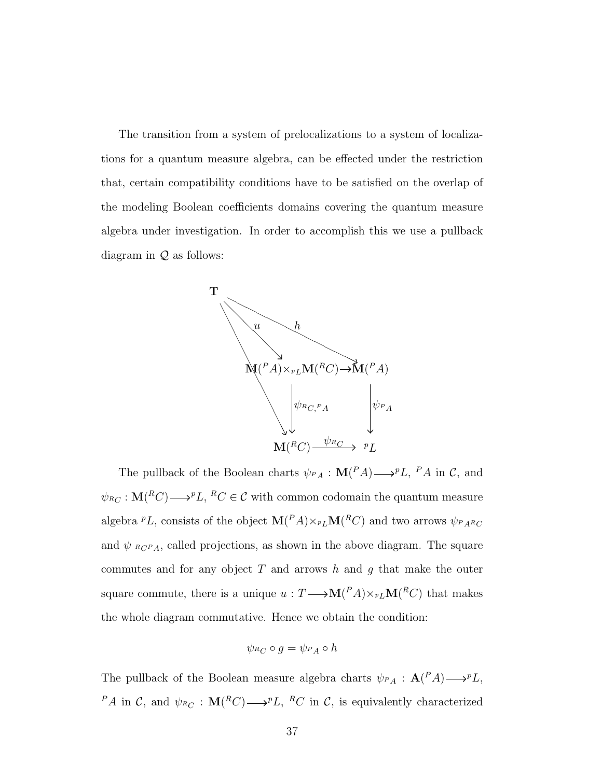The transition from a system of prelocalizations to a system of localizations for a quantum measure algebra, can be effected under the restriction that, certain compatibility conditions have to be satisfied on the overlap of the modeling Boolean coefficients domains covering the quantum measure algebra under investigation. In order to accomplish this we use a pullback diagram in  $Q$  as follows:



The pullback of the Boolean charts  $\psi_{P,A}: \mathbf{M}(P_A) \longrightarrow^p L$ ,  $P_A$  in C, and  $\psi_{R_C}: \mathbf{M}(^RC) \longrightarrow^p L$ ,  $^RC \in \mathcal{C}$  with common codomain the quantum measure algebra  ${}^pL$ , consists of the object  $\mathbf{M}(^P A) \times_{^pL} \mathbf{M}(^R C)$  and two arrows  $\psi_{^P A^R C}$ and  $\psi$   $_{R_1C_1P_1}$ , called projections, as shown in the above diagram. The square commutes and for any object  $T$  and arrows  $h$  and  $g$  that make the outer square commute, there is a unique  $u: T \longrightarrow M(^P A) \times_{^P L} M(^R C)$  that makes the whole diagram commutative. Hence we obtain the condition:

$$
\psi_{^RC}\circ g=\psi_{^PA}\circ h
$$

The pullback of the Boolean measure algebra charts  $\psi_{PA} : \mathbf{A}(PA) \longrightarrow^{p} L$ , <sup>P</sup>A in C, and  $\psi_{R_C} : M(R_C) \longrightarrow P_L$ , <sup>R</sup>C in C, is equivalently characterized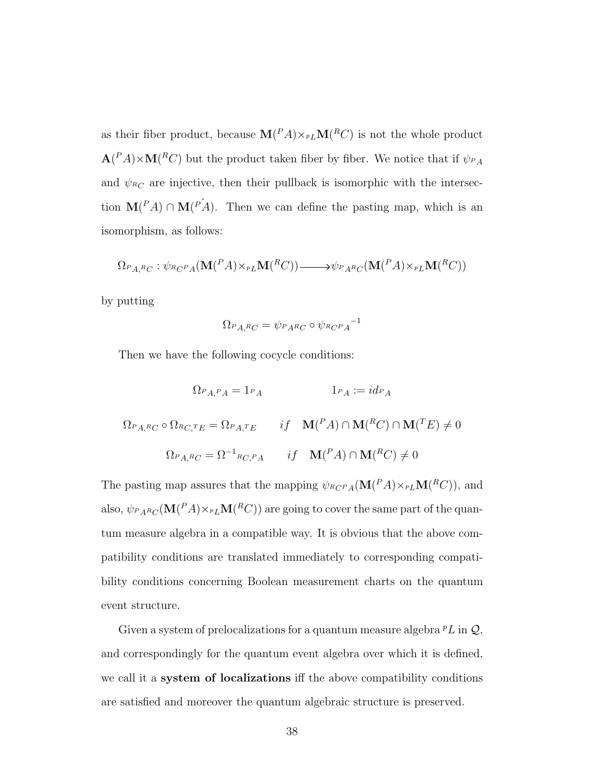as their fiber product, because  $\mathbf{M}(P_A)\times_{^pL}\mathbf{M}(^RC)$  is not the whole product  $\mathbf{A}(P_A) \times \mathbf{M}(^R C)$  but the product taken fiber by fiber. We notice that if  $\psi_{P_A}$ and  $\psi_{RC}$  are injective, then their pullback is isomorphic with the intersection  $\mathbf{M}(^P A) \cap \mathbf{M}(^{P'} A)$ . Then we can define the pasting map, which is an isomorphism, as follows:

$$
\Omega_{P,A,R_C}: \psi_{R_C P_A}(\mathbf{M}(^P A) \times_{^p L} \mathbf{M}(^R C)) \longrightarrow \psi_{P_A R_C}(\mathbf{M}(^P A) \times_{^p L} \mathbf{M}(^R C))
$$

by putting

$$
\Omega_{P_{A,^{R}C}} = \psi_{P_{A^{R}C}} \circ \psi_{R_{C}P_{A}}{}^{-1}
$$

Then we have the following cocycle conditions:

$$
\Omega_{P_{A,P_{A}}} = 1_{P_{A}} \qquad 1_{P_{A}} := id_{P_{A}}
$$
  

$$
\Omega_{P_{A,R_{C}}} \circ \Omega_{R_{C,TE}} = \Omega_{P_{A,TE}} \qquad if \quad \mathbf{M}(^P A) \cap \mathbf{M}(^R C) \cap \mathbf{M}(^T E) \neq 0
$$
  

$$
\Omega_{P_{A,R_{C}}} = \Omega^{-1}{}_{R_{C,P_{A}}} \qquad if \quad \mathbf{M}(^P A) \cap \mathbf{M}(^R C) \neq 0
$$

The pasting map assures that the mapping  $\psi_{R_C P_A}(\mathbf{M}(P_A)\times_{P_L} \mathbf{M}(R_C)),$  and also,  $\psi_{P_A R_C}(\mathbf{M}({}^P A)\times_{P_L}\!\mathbf{M}({}^R C))$  are going to cover the same part of the quantum measure algebra in a compatible way. It is obvious that the above compatibility conditions are translated immediately to corresponding compatibility conditions concerning Boolean measurement charts on the quantum event structure.

Given a system of prelocalizations for a quantum measure algebra  $^pL$  in  $\mathcal{Q},$ and correspondingly for the quantum event algebra over which it is defined, we call it a system of localizations iff the above compatibility conditions are satisfied and moreover the quantum algebraic structure is preserved.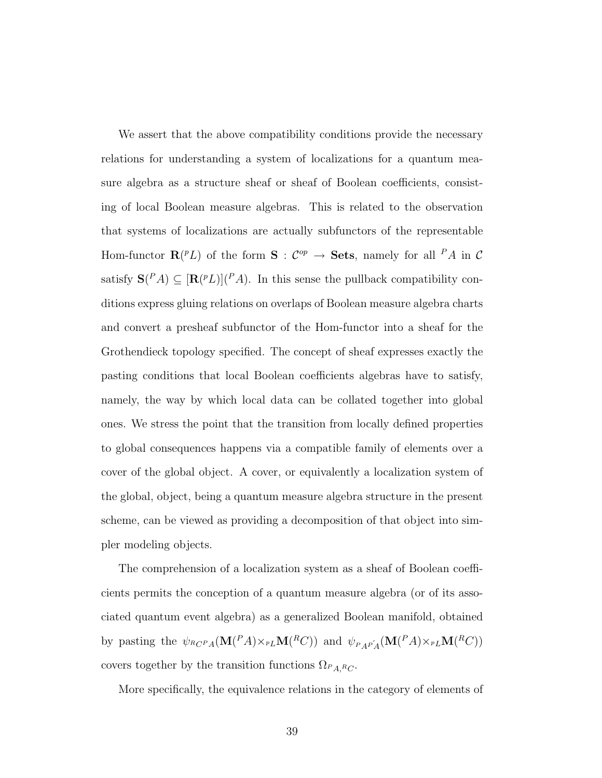We assert that the above compatibility conditions provide the necessary relations for understanding a system of localizations for a quantum measure algebra as a structure sheaf or sheaf of Boolean coefficients, consisting of local Boolean measure algebras. This is related to the observation that systems of localizations are actually subfunctors of the representable Hom-functor  $\mathbf{R}(^p L)$  of the form  $\mathbf{S}: \mathcal{C}^{op} \to \mathbf{Sets}$ , namely for all  $^P A$  in  $\mathcal{C}$ satisfy  $S(^{P}A) \subseteq [R(^{p}L)](^{P}A)$ . In this sense the pullback compatibility conditions express gluing relations on overlaps of Boolean measure algebra charts and convert a presheaf subfunctor of the Hom-functor into a sheaf for the Grothendieck topology specified. The concept of sheaf expresses exactly the pasting conditions that local Boolean coefficients algebras have to satisfy, namely, the way by which local data can be collated together into global ones. We stress the point that the transition from locally defined properties to global consequences happens via a compatible family of elements over a cover of the global object. A cover, or equivalently a localization system of the global, object, being a quantum measure algebra structure in the present scheme, can be viewed as providing a decomposition of that object into simpler modeling objects.

The comprehension of a localization system as a sheaf of Boolean coefficients permits the conception of a quantum measure algebra (or of its associated quantum event algebra) as a generalized Boolean manifold, obtained by pasting the  $\psi_{R_C P_A}(\mathbf{M}(^P A) \times_{^p L} \mathbf{M}(^R C))$  and  $\psi_{P_A P'_A}(\mathbf{M}(^P A) \times_{^p L} \mathbf{M}(^R C))$ covers together by the transition functions  $\Omega_{P_{A,R_C}}$ .

More specifically, the equivalence relations in the category of elements of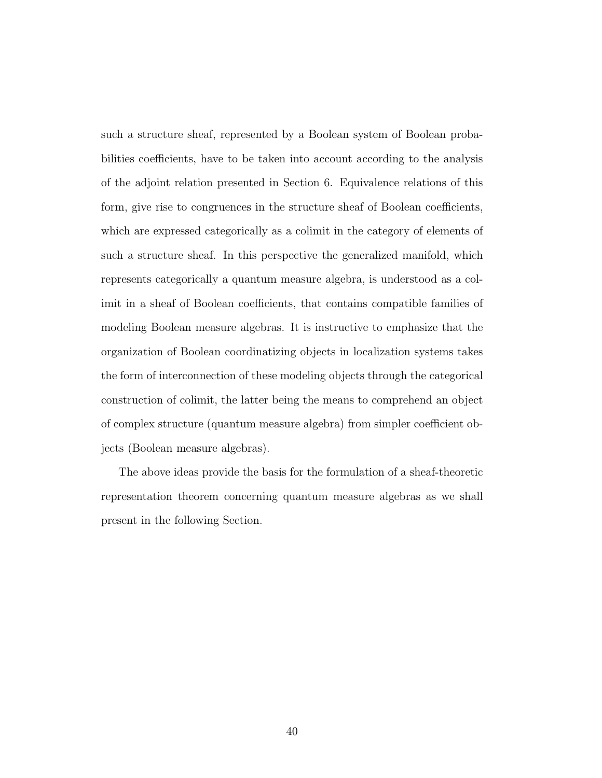such a structure sheaf, represented by a Boolean system of Boolean probabilities coefficients, have to be taken into account according to the analysis of the adjoint relation presented in Section 6. Equivalence relations of this form, give rise to congruences in the structure sheaf of Boolean coefficients, which are expressed categorically as a colimit in the category of elements of such a structure sheaf. In this perspective the generalized manifold, which represents categorically a quantum measure algebra, is understood as a colimit in a sheaf of Boolean coefficients, that contains compatible families of modeling Boolean measure algebras. It is instructive to emphasize that the organization of Boolean coordinatizing objects in localization systems takes the form of interconnection of these modeling objects through the categorical construction of colimit, the latter being the means to comprehend an object of complex structure (quantum measure algebra) from simpler coefficient objects (Boolean measure algebras).

The above ideas provide the basis for the formulation of a sheaf-theoretic representation theorem concerning quantum measure algebras as we shall present in the following Section.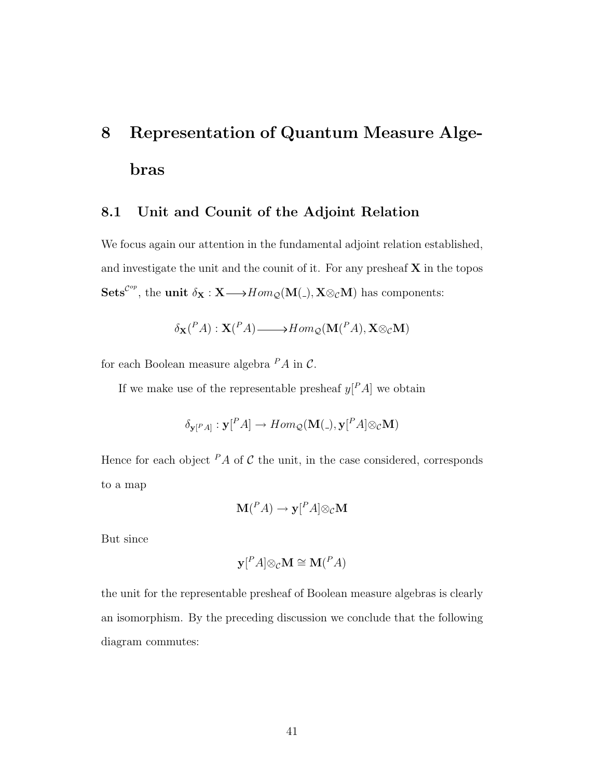# 8 Representation of Quantum Measure Algebras

#### 8.1 Unit and Counit of the Adjoint Relation

We focus again our attention in the fundamental adjoint relation established, and investigate the unit and the counit of it. For any presheaf  $X$  in the topos Sets<sup>Cop</sup>, the unit  $\delta_{\mathbf{X}} : \mathbf{X} \longrightarrow Hom_{\mathcal{Q}}(\mathbf{M}(.), \mathbf{X} \otimes_{\mathcal{C}} \mathbf{M})$  has components:

$$
\delta_{\mathbf{X}}({}^P A) : \mathbf{X}({}^P A) \longrightarrow Hom_{\mathcal{Q}}(\mathbf{M}({}^P A), \mathbf{X} \otimes_{\mathcal{C}} \mathbf{M})
$$

for each Boolean measure algebra  $^P A$  in  $\mathcal{C}$ .

If we make use of the representable presheaf  $y^P A$  we obtain

$$
\delta_{\mathbf{y}[^P A]}: \mathbf{y}[^P A] \to Hom_\mathcal{Q}(\mathbf{M}(\texttt{\_}), \mathbf{y}[^P A] \otimes_\mathcal{C} \mathbf{M})
$$

Hence for each object  $PA$  of C the unit, in the case considered, corresponds to a map

$$
\mathbf{M}(^P A) \to \mathbf{y}[^P A] \otimes_{\mathcal{C}} \mathbf{M}
$$

But since

$$
\mathbf{y}[^{P} A] \otimes_{\mathcal{C}} \mathbf{M} \cong \mathbf{M}(^{P} A)
$$

the unit for the representable presheaf of Boolean measure algebras is clearly an isomorphism. By the preceding discussion we conclude that the following diagram commutes: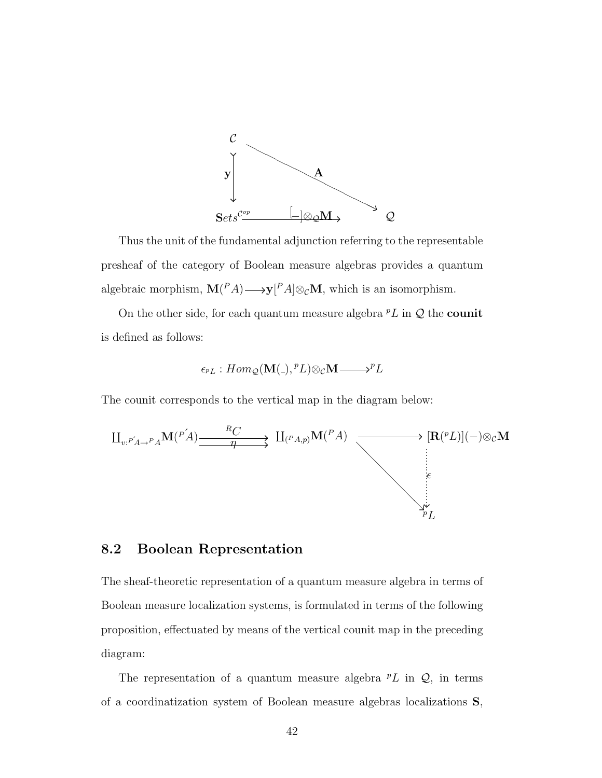

Thus the unit of the fundamental adjunction referring to the representable presheaf of the category of Boolean measure algebras provides a quantum algebraic morphism,  $\mathbf{M}(^P A) \longrightarrow \mathbf{y}[^P A] \otimes_c \mathbf{M}$ , which is an isomorphism.

On the other side, for each quantum measure algebra  $^pL$  in  $\mathcal Q$  the **counit** is defined as follows:

$$
\epsilon_{^pL}:Hom_{\mathcal{Q}}(\mathbf{M}(\mathcal{A}), ^pL)\otimes_{\mathcal{C}}\mathbf{M}\longrightarrow ^pL
$$

The counit corresponds to the vertical map in the diagram below:

$$
\begin{array}{ccc}\n\coprod_{v:P'_{A\to P_{A}}}\mathbf{M}(P'_{A})\xrightarrow{\qquad R_{C}} & \coprod_{(P_{A,p})}\mathbf{M}(P_{A}) & \longrightarrow & [\mathbf{R}(PL)](-)\otimes_{\mathcal{C}}\mathbf{M} \\
\downarrow & \downarrow & \downarrow \\
\downarrow & \downarrow & \downarrow \\
\downarrow & \downarrow & \downarrow \\
\downarrow & \downarrow & \downarrow \\
\downarrow & \downarrow & \downarrow \\
\downarrow & \downarrow & \downarrow \\
\downarrow & \downarrow & \downarrow \\
\downarrow & \downarrow & \downarrow \\
\downarrow & \downarrow & \downarrow \\
\downarrow & \downarrow & \downarrow \\
\downarrow & \downarrow & \downarrow \\
\downarrow & \downarrow & \downarrow \\
\downarrow & \downarrow & \downarrow \\
\downarrow & \downarrow & \downarrow \\
\downarrow & \downarrow & \downarrow \\
\downarrow & \downarrow & \downarrow \\
\downarrow & \downarrow & \downarrow \\
\downarrow & \downarrow & \downarrow \\
\downarrow & \downarrow & \downarrow \\
\downarrow & \downarrow & \downarrow \\
\downarrow & \downarrow & \downarrow \\
\downarrow & \downarrow & \downarrow \\
\downarrow & \downarrow & \downarrow \\
\downarrow & \downarrow & \downarrow \\
\downarrow & \downarrow & \downarrow \\
\downarrow & \downarrow & \downarrow \\
\downarrow & \downarrow & \downarrow \\
\downarrow & \downarrow & \downarrow \\
\downarrow & \downarrow & \downarrow \\
\downarrow & \downarrow & \downarrow \\
\downarrow & \downarrow & \downarrow \\
\downarrow & \downarrow & \downarrow \\
\downarrow & \downarrow & \downarrow \\
\downarrow & \downarrow & \downarrow \\
\downarrow & \downarrow & \downarrow \\
\downarrow & \downarrow & \downarrow \\
\downarrow & \downarrow & \downarrow \\
\downarrow & \downarrow & \downarrow \\
\downarrow & \downarrow & \downarrow \\
\downarrow & \downarrow & \downarrow \\
\downarrow & \downarrow & \downarrow \\
\downarrow & \downarrow & \downarrow \\
\downarrow & \downarrow & \downarrow \\
\downarrow & \downarrow & \downarrow \\
\downarrow & \downarrow & \downarrow \\
\downarrow & \downarrow & \downarrow \\
\downarrow & \downarrow & \downarrow \\
\downarrow & \downarrow & \downarrow \\
\downarrow & \downarrow & \downarrow \\
\downarrow & \downarrow & \downarrow \\
\downarrow & \downarrow & \downarrow \\
\downarrow & \downarrow & \downarrow \\
\downarrow & \downarrow & \downarrow \\
\downarrow & \downarrow & \downarrow \\
\downarrow & \downarrow & \downarrow \\
\downarrow & \
$$

### 8.2 Boolean Representation

The sheaf-theoretic representation of a quantum measure algebra in terms of Boolean measure localization systems, is formulated in terms of the following proposition, effectuated by means of the vertical counit map in the preceding diagram:

The representation of a quantum measure algebra  $^pL$  in  $\mathcal{Q}$ , in terms of a coordinatization system of Boolean measure algebras localizations S,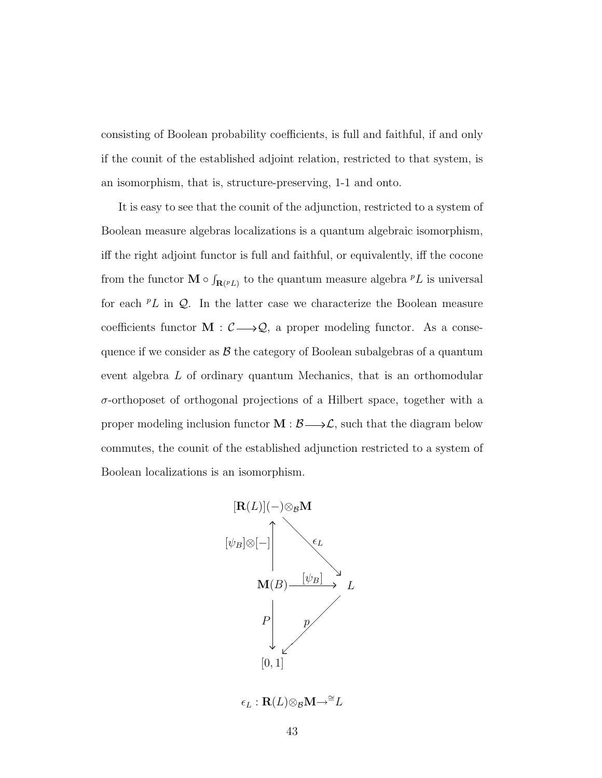consisting of Boolean probability coefficients, is full and faithful, if and only if the counit of the established adjoint relation, restricted to that system, is an isomorphism, that is, structure-preserving, 1-1 and onto.

It is easy to see that the counit of the adjunction, restricted to a system of Boolean measure algebras localizations is a quantum algebraic isomorphism, iff the right adjoint functor is full and faithful, or equivalently, iff the cocone from the functor  $\mathbf{M} \circ \int_{\mathbf{R}(PL)}$  to the quantum measure algebra  $PL$  is universal for each  ${}^p L$  in Q. In the latter case we characterize the Boolean measure coefficients functor  $\mathbf{M}: \mathcal{C} \longrightarrow \mathcal{Q}$ , a proper modeling functor. As a consequence if we consider as  $\beta$  the category of Boolean subalgebras of a quantum event algebra L of ordinary quantum Mechanics, that is an orthomodular  $\sigma$ -orthoposet of orthogonal projections of a Hilbert space, together with a proper modeling inclusion functor  $M : \mathcal{B} \longrightarrow \mathcal{L}$ , such that the diagram below commutes, the counit of the established adjunction restricted to a system of Boolean localizations is an isomorphism.

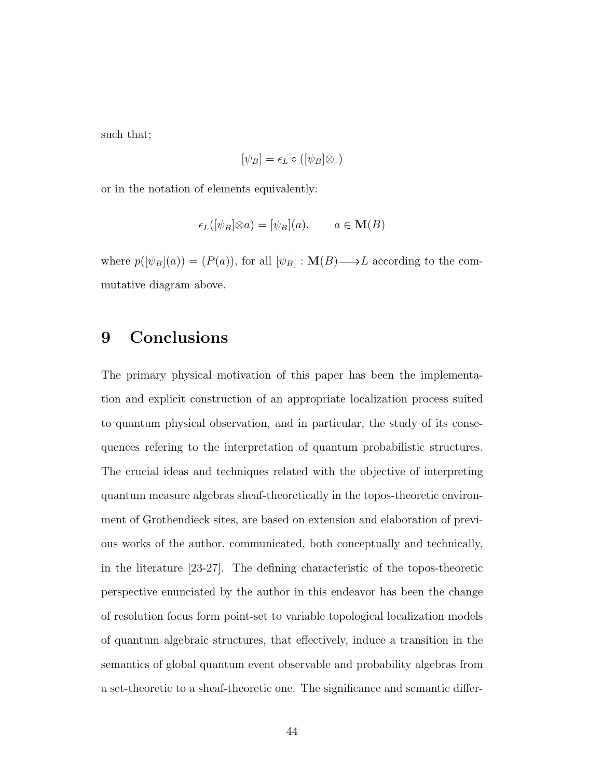such that;

$$
[\psi_B] = \epsilon_L \circ ([\psi_B] \otimes \phi)
$$

or in the notation of elements equivalently:

$$
\epsilon_L([\psi_B]\otimes a) = [\psi_B](a), \qquad a \in \mathbf{M}(B)
$$

where  $p([\psi_B](a)) = (P(a))$ , for all  $[\psi_B] : \mathbf{M}(B) \longrightarrow L$  according to the commutative diagram above.

## 9 Conclusions

The primary physical motivation of this paper has been the implementation and explicit construction of an appropriate localization process suited to quantum physical observation, and in particular, the study of its consequences refering to the interpretation of quantum probabilistic structures. The crucial ideas and techniques related with the objective of interpreting quantum measure algebras sheaf-theoretically in the topos-theoretic environment of Grothendieck sites, are based on extension and elaboration of previous works of the author, communicated, both conceptually and technically, in the literature [23-27]. The defining characteristic of the topos-theoretic perspective enunciated by the author in this endeavor has been the change of resolution focus form point-set to variable topological localization models of quantum algebraic structures, that effectively, induce a transition in the semantics of global quantum event observable and probability algebras from a set-theoretic to a sheaf-theoretic one. The significance and semantic differ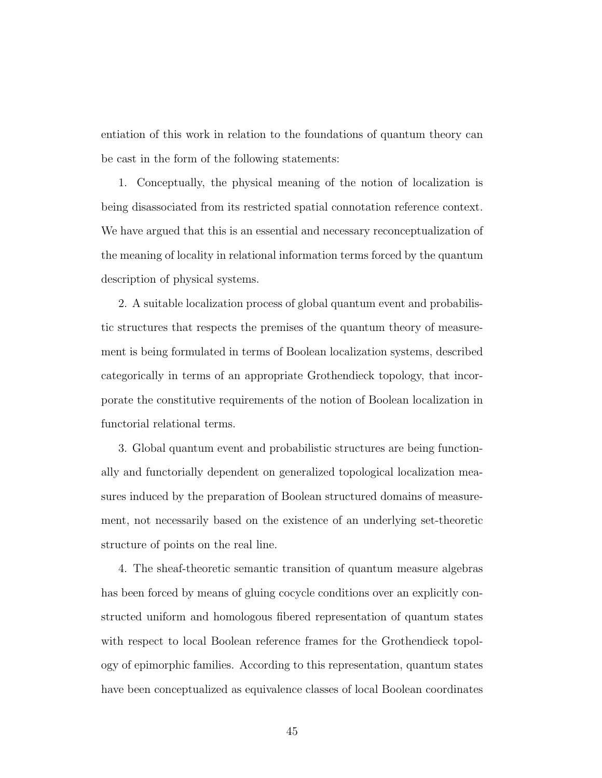entiation of this work in relation to the foundations of quantum theory can be cast in the form of the following statements:

1. Conceptually, the physical meaning of the notion of localization is being disassociated from its restricted spatial connotation reference context. We have argued that this is an essential and necessary reconceptualization of the meaning of locality in relational information terms forced by the quantum description of physical systems.

2. A suitable localization process of global quantum event and probabilistic structures that respects the premises of the quantum theory of measurement is being formulated in terms of Boolean localization systems, described categorically in terms of an appropriate Grothendieck topology, that incorporate the constitutive requirements of the notion of Boolean localization in functorial relational terms.

3. Global quantum event and probabilistic structures are being functionally and functorially dependent on generalized topological localization measures induced by the preparation of Boolean structured domains of measurement, not necessarily based on the existence of an underlying set-theoretic structure of points on the real line.

4. The sheaf-theoretic semantic transition of quantum measure algebras has been forced by means of gluing cocycle conditions over an explicitly constructed uniform and homologous fibered representation of quantum states with respect to local Boolean reference frames for the Grothendieck topology of epimorphic families. According to this representation, quantum states have been conceptualized as equivalence classes of local Boolean coordinates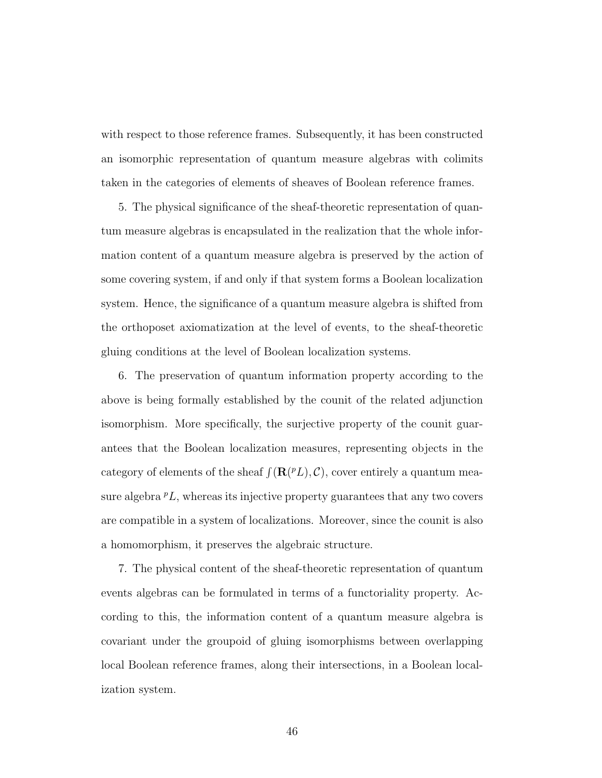with respect to those reference frames. Subsequently, it has been constructed an isomorphic representation of quantum measure algebras with colimits taken in the categories of elements of sheaves of Boolean reference frames.

5. The physical significance of the sheaf-theoretic representation of quantum measure algebras is encapsulated in the realization that the whole information content of a quantum measure algebra is preserved by the action of some covering system, if and only if that system forms a Boolean localization system. Hence, the significance of a quantum measure algebra is shifted from the orthoposet axiomatization at the level of events, to the sheaf-theoretic gluing conditions at the level of Boolean localization systems.

6. The preservation of quantum information property according to the above is being formally established by the counit of the related adjunction isomorphism. More specifically, the surjective property of the counit guarantees that the Boolean localization measures, representing objects in the category of elements of the sheaf  $\int (\mathbf{R}(^p L), \mathcal{C})$ , cover entirely a quantum measure algebra  ${}^pL$ , whereas its injective property guarantees that any two covers are compatible in a system of localizations. Moreover, since the counit is also a homomorphism, it preserves the algebraic structure.

7. The physical content of the sheaf-theoretic representation of quantum events algebras can be formulated in terms of a functoriality property. According to this, the information content of a quantum measure algebra is covariant under the groupoid of gluing isomorphisms between overlapping local Boolean reference frames, along their intersections, in a Boolean localization system.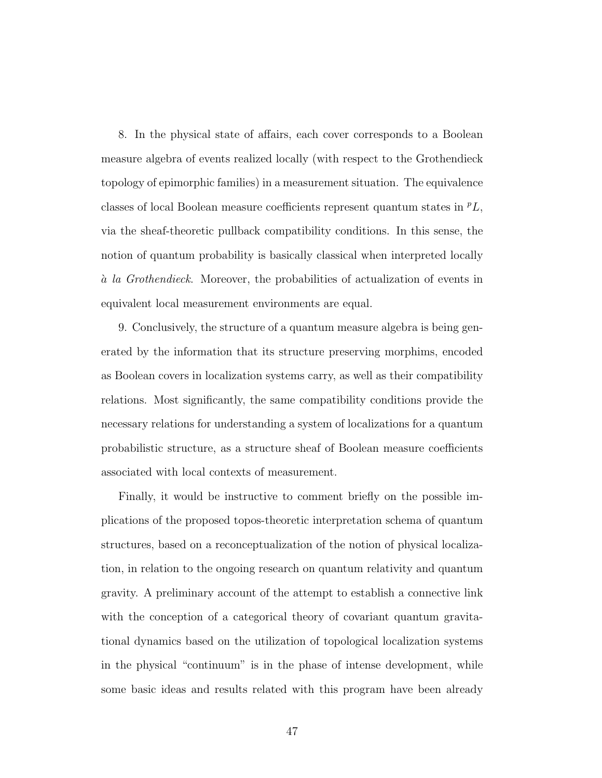8. In the physical state of affairs, each cover corresponds to a Boolean measure algebra of events realized locally (with respect to the Grothendieck topology of epimorphic families) in a measurement situation. The equivalence classes of local Boolean measure coefficients represent quantum states in  ${}^pL$ , via the sheaf-theoretic pullback compatibility conditions. In this sense, the notion of quantum probability is basically classical when interpreted locally a` la Grothendieck. Moreover, the probabilities of actualization of events in equivalent local measurement environments are equal.

9. Conclusively, the structure of a quantum measure algebra is being generated by the information that its structure preserving morphims, encoded as Boolean covers in localization systems carry, as well as their compatibility relations. Most significantly, the same compatibility conditions provide the necessary relations for understanding a system of localizations for a quantum probabilistic structure, as a structure sheaf of Boolean measure coefficients associated with local contexts of measurement.

Finally, it would be instructive to comment briefly on the possible implications of the proposed topos-theoretic interpretation schema of quantum structures, based on a reconceptualization of the notion of physical localization, in relation to the ongoing research on quantum relativity and quantum gravity. A preliminary account of the attempt to establish a connective link with the conception of a categorical theory of covariant quantum gravitational dynamics based on the utilization of topological localization systems in the physical "continuum" is in the phase of intense development, while some basic ideas and results related with this program have been already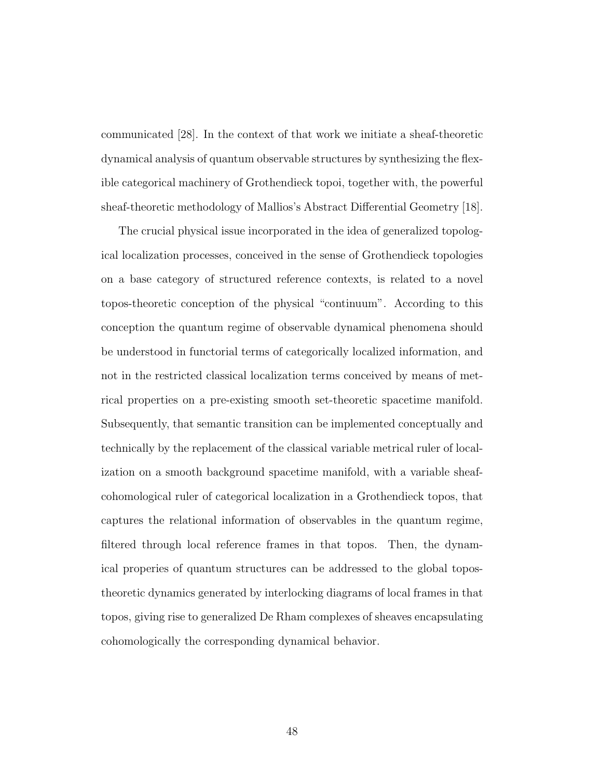communicated [28]. In the context of that work we initiate a sheaf-theoretic dynamical analysis of quantum observable structures by synthesizing the flexible categorical machinery of Grothendieck topoi, together with, the powerful sheaf-theoretic methodology of Mallios's Abstract Differential Geometry [18].

The crucial physical issue incorporated in the idea of generalized topological localization processes, conceived in the sense of Grothendieck topologies on a base category of structured reference contexts, is related to a novel topos-theoretic conception of the physical "continuum". According to this conception the quantum regime of observable dynamical phenomena should be understood in functorial terms of categorically localized information, and not in the restricted classical localization terms conceived by means of metrical properties on a pre-existing smooth set-theoretic spacetime manifold. Subsequently, that semantic transition can be implemented conceptually and technically by the replacement of the classical variable metrical ruler of localization on a smooth background spacetime manifold, with a variable sheafcohomological ruler of categorical localization in a Grothendieck topos, that captures the relational information of observables in the quantum regime, filtered through local reference frames in that topos. Then, the dynamical properies of quantum structures can be addressed to the global topostheoretic dynamics generated by interlocking diagrams of local frames in that topos, giving rise to generalized De Rham complexes of sheaves encapsulating cohomologically the corresponding dynamical behavior.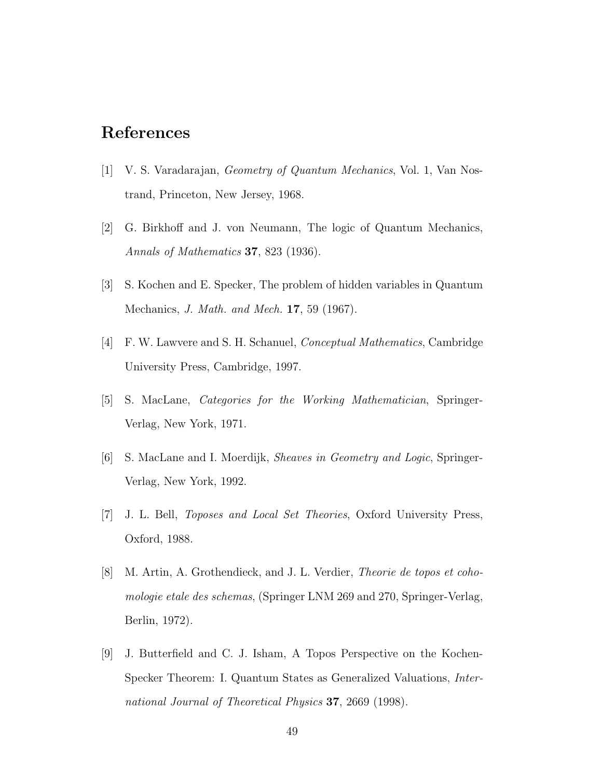## References

- [1] V. S. Varadarajan, Geometry of Quantum Mechanics, Vol. 1, Van Nostrand, Princeton, New Jersey, 1968.
- [2] G. Birkhoff and J. von Neumann, The logic of Quantum Mechanics, Annals of Mathematics 37, 823 (1936).
- [3] S. Kochen and E. Specker, The problem of hidden variables in Quantum Mechanics, J. Math. and Mech. 17, 59 (1967).
- [4] F. W. Lawvere and S. H. Schanuel, Conceptual Mathematics, Cambridge University Press, Cambridge, 1997.
- [5] S. MacLane, Categories for the Working Mathematician, Springer-Verlag, New York, 1971.
- [6] S. MacLane and I. Moerdijk, Sheaves in Geometry and Logic, Springer-Verlag, New York, 1992.
- [7] J. L. Bell, Toposes and Local Set Theories, Oxford University Press, Oxford, 1988.
- [8] M. Artin, A. Grothendieck, and J. L. Verdier, Theorie de topos et cohomologie etale des schemas, (Springer LNM 269 and 270, Springer-Verlag, Berlin, 1972).
- [9] J. Butterfield and C. J. Isham, A Topos Perspective on the Kochen-Specker Theorem: I. Quantum States as Generalized Valuations, International Journal of Theoretical Physics 37, 2669 (1998).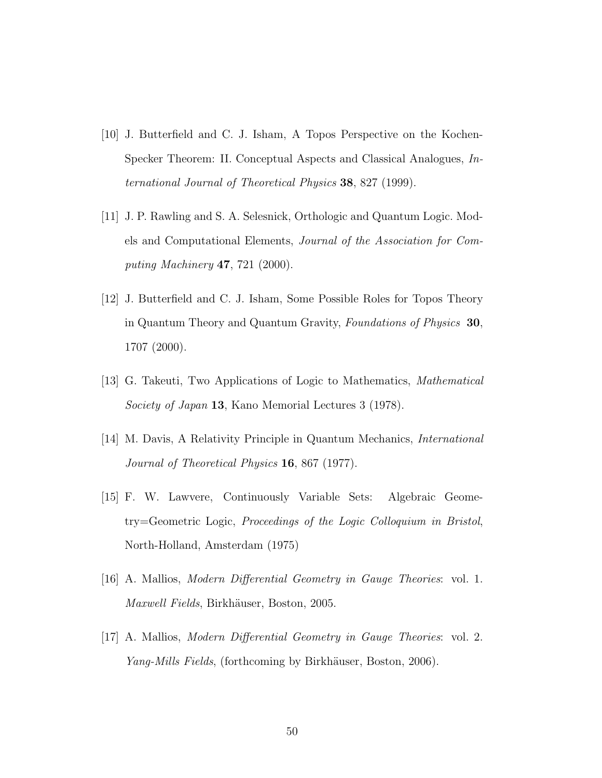- [10] J. Butterfield and C. J. Isham, A Topos Perspective on the Kochen-Specker Theorem: II. Conceptual Aspects and Classical Analogues, International Journal of Theoretical Physics 38, 827 (1999).
- [11] J. P. Rawling and S. A. Selesnick, Orthologic and Quantum Logic. Models and Computational Elements, Journal of the Association for Computing Machinery 47, 721 (2000).
- [12] J. Butterfield and C. J. Isham, Some Possible Roles for Topos Theory in Quantum Theory and Quantum Gravity, Foundations of Physics 30, 1707 (2000).
- [13] G. Takeuti, Two Applications of Logic to Mathematics, Mathematical Society of Japan 13, Kano Memorial Lectures 3 (1978).
- [14] M. Davis, A Relativity Principle in Quantum Mechanics, International Journal of Theoretical Physics 16, 867 (1977).
- [15] F. W. Lawvere, Continuously Variable Sets: Algebraic Geometry=Geometric Logic, Proceedings of the Logic Colloquium in Bristol, North-Holland, Amsterdam (1975)
- [16] A. Mallios, Modern Differential Geometry in Gauge Theories: vol. 1. Maxwell Fields, Birkhäuser, Boston, 2005.
- [17] A. Mallios, Modern Differential Geometry in Gauge Theories: vol. 2. Yang-Mills Fields, (forthcoming by Birkhäuser, Boston, 2006).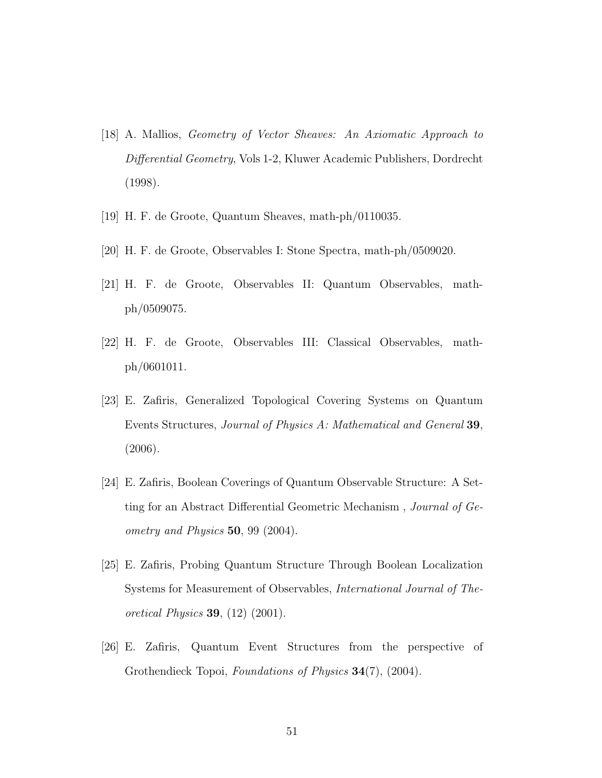- [18] A. Mallios, Geometry of Vector Sheaves: An Axiomatic Approach to Differential Geometry, Vols 1-2, Kluwer Academic Publishers, Dordrecht (1998).
- [19] H. F. de Groote, Quantum Sheaves, math-ph/0110035.
- [20] H. F. de Groote, Observables I: Stone Spectra, math-ph/0509020.
- [21] H. F. de Groote, Observables II: Quantum Observables, mathph/0509075.
- [22] H. F. de Groote, Observables III: Classical Observables, mathph/0601011.
- [23] E. Zafiris, Generalized Topological Covering Systems on Quantum Events Structures, Journal of Physics A: Mathematical and General 39, (2006).
- [24] E. Zafiris, Boolean Coverings of Quantum Observable Structure: A Setting for an Abstract Differential Geometric Mechanism , Journal of Geometry and Physics 50, 99 (2004).
- [25] E. Zafiris, Probing Quantum Structure Through Boolean Localization Systems for Measurement of Observables, International Journal of Theoretical Physics 39, (12) (2001).
- [26] E. Zafiris, Quantum Event Structures from the perspective of Grothendieck Topoi, Foundations of Physics 34(7), (2004).